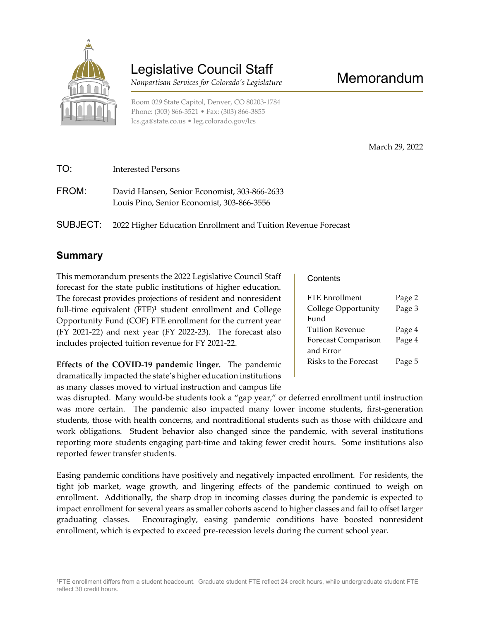

# Legislative Council Staff

Nonpartisan Services for Colorado's Legislature

Room 029 State Capitol, Denver, CO 80203-1784 Phone: (303) 866-3521 • Fax: (303) 866-3855 lcs.ga@state.co.us • leg.colorado.gov/lcs

March 29, 2022

Memorandum

- TO: Interested Persons FROM: David Hansen, Senior Economist, 303-866-2633 Louis Pino, Senior Economist, 303-866-3556
- SUBJECT: 2022 Higher Education Enrollment and Tuition Revenue Forecast

## Summary

 $\overline{a}$ 

This memorandum presents the 2022 Legislative Council Staff forecast for the state public institutions of higher education. The forecast provides projections of resident and nonresident full-time equivalent (FTE)<sup>1</sup> student enrollment and College Opportunity Fund (COF) FTE enrollment for the current year (FY 2021-22) and next year (FY 2022-23). The forecast also includes projected tuition revenue for FY 2021-22.

Effects of the COVID-19 pandemic linger. The pandemic dramatically impacted the state's higher education institutions as many classes moved to virtual instruction and campus life

**Contents** 

| FTE Enrollment             | Page 2 |
|----------------------------|--------|
| College Opportunity        | Page 3 |
| Fund                       |        |
| Tuition Revenue            | Page 4 |
| <b>Forecast Comparison</b> | Page 4 |
| and Error                  |        |
| Risks to the Forecast      | Page 5 |
|                            |        |

was disrupted. Many would-be students took a "gap year," or deferred enrollment until instruction was more certain. The pandemic also impacted many lower income students, first-generation students, those with health concerns, and nontraditional students such as those with childcare and work obligations. Student behavior also changed since the pandemic, with several institutions reporting more students engaging part-time and taking fewer credit hours. Some institutions also reported fewer transfer students.

Easing pandemic conditions have positively and negatively impacted enrollment. For residents, the tight job market, wage growth, and lingering effects of the pandemic continued to weigh on enrollment. Additionally, the sharp drop in incoming classes during the pandemic is expected to impact enrollment for several years as smaller cohorts ascend to higher classes and fail to offset larger graduating classes. Encouragingly, easing pandemic conditions have boosted nonresident enrollment, which is expected to exceed pre-recession levels during the current school year.

<sup>1</sup>FTE enrollment differs from a student headcount. Graduate student FTE reflect 24 credit hours, while undergraduate student FTE reflect 30 credit hours.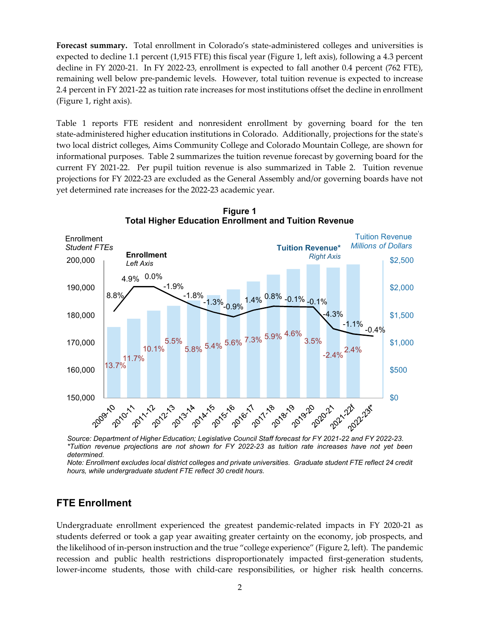Forecast summary. Total enrollment in Colorado's state-administered colleges and universities is expected to decline 1.1 percent (1,915 FTE) this fiscal year (Figure 1, left axis), following a 4.3 percent decline in FY 2020-21. In FY 2022-23, enrollment is expected to fall another 0.4 percent (762 FTE), remaining well below pre-pandemic levels. However, total tuition revenue is expected to increase 2.4 percent in FY 2021-22 as tuition rate increases for most institutions offset the decline in enrollment (Figure 1, right axis).

Table 1 reports FTE resident and nonresident enrollment by governing board for the ten state-administered higher education institutions in Colorado. Additionally, projections for the state's two local district colleges, Aims Community College and Colorado Mountain College, are shown for informational purposes. Table 2 summarizes the tuition revenue forecast by governing board for the current FY 2021-22. Per pupil tuition revenue is also summarized in Table 2. Tuition revenue projections for FY 2022-23 are excluded as the General Assembly and/or governing boards have not yet determined rate increases for the 2022-23 academic year.



Figure 1 Total Higher Education Enrollment and Tuition Revenue

Source: Department of Higher Education; Legislative Council Staff forecast for FY 2021-22 and FY 2022-23. \*Tuition revenue projections are not shown for FY 2022-23 as tuition rate increases have not yet been determined.

Note: Enrollment excludes local district colleges and private universities. Graduate student FTE reflect 24 credit hours, while undergraduate student FTE reflect 30 credit hours.

### FTE Enrollment

Undergraduate enrollment experienced the greatest pandemic-related impacts in FY 2020-21 as students deferred or took a gap year awaiting greater certainty on the economy, job prospects, and the likelihood of in-person instruction and the true "college experience" (Figure 2, left). The pandemic recession and public health restrictions disproportionately impacted first-generation students, lower-income students, those with child-care responsibilities, or higher risk health concerns.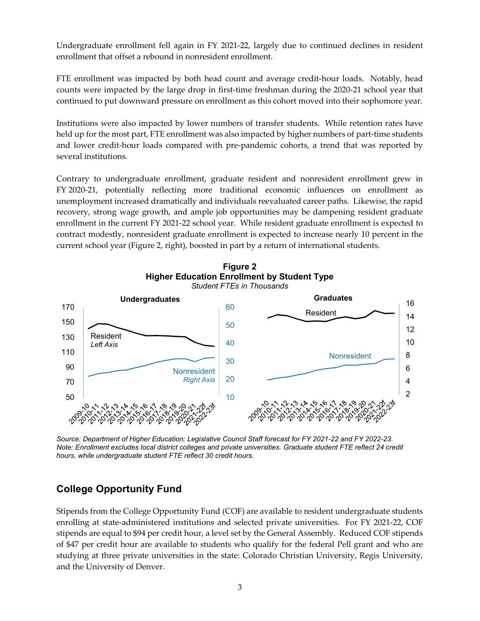Undergraduate enrollment fell again in FY 2021-22, largely due to continued declines in resident enrollment that offset a rebound in nonresident enrollment.

FTE enrollment was impacted by both head count and average credit-hour loads. Notably, head counts were impacted by the large drop in first-time freshman during the 2020-21 school year that continued to put downward pressure on enrollment as this cohort moved into their sophomore year.

Institutions were also impacted by lower numbers of transfer students. While retention rates have held up for the most part, FTE enrollment was also impacted by higher numbers of part-time students and lower credit-hour loads compared with pre-pandemic cohorts, a trend that was reported by several institutions.

Contrary to undergraduate enrollment, graduate resident and nonresident enrollment grew in FY 2020-21, potentially reflecting more traditional economic influences on enrollment as unemployment increased dramatically and individuals reevaluated career paths. Likewise, the rapid recovery, strong wage growth, and ample job opportunities may be dampening resident graduate enrollment in the current FY 2021-22 school year. While resident graduate enrollment is expected to contract modestly, nonresident graduate enrollment is expected to increase nearly 10 percent in the current school year (Figure 2, right), boosted in part by a return of international students.



Source: Department of Higher Education; Legislative Council Staff forecast for FY 2021-22 and FY 2022-23. Note: Enrollment excludes local district colleges and private universities. Graduate student FTE reflect 24 credit hours, while undergraduate student FTE reflect 30 credit hours.

## College Opportunity Fund

Stipends from the College Opportunity Fund (COF) are available to resident undergraduate students enrolling at state-administered institutions and selected private universities. For FY 2021-22, COF stipends are equal to \$94 per credit hour, a level set by the General Assembly. Reduced COF stipends of \$47 per credit hour are available to students who qualify for the federal Pell grant and who are studying at three private universities in the state: Colorado Christian University, Regis University, and the University of Denver.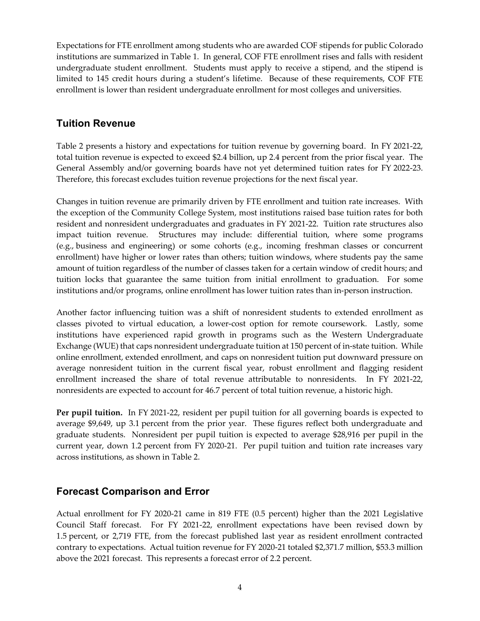Expectations for FTE enrollment among students who are awarded COF stipends for public Colorado institutions are summarized in Table 1. In general, COF FTE enrollment rises and falls with resident undergraduate student enrollment. Students must apply to receive a stipend, and the stipend is limited to 145 credit hours during a student's lifetime. Because of these requirements, COF FTE enrollment is lower than resident undergraduate enrollment for most colleges and universities.

### Tuition Revenue

Table 2 presents a history and expectations for tuition revenue by governing board. In FY 2021-22, total tuition revenue is expected to exceed \$2.4 billion, up 2.4 percent from the prior fiscal year. The General Assembly and/or governing boards have not yet determined tuition rates for FY 2022-23. Therefore, this forecast excludes tuition revenue projections for the next fiscal year.

Changes in tuition revenue are primarily driven by FTE enrollment and tuition rate increases. With the exception of the Community College System, most institutions raised base tuition rates for both resident and nonresident undergraduates and graduates in FY 2021-22. Tuition rate structures also impact tuition revenue. Structures may include: differential tuition, where some programs (e.g., business and engineering) or some cohorts (e.g., incoming freshman classes or concurrent enrollment) have higher or lower rates than others; tuition windows, where students pay the same amount of tuition regardless of the number of classes taken for a certain window of credit hours; and tuition locks that guarantee the same tuition from initial enrollment to graduation. For some institutions and/or programs, online enrollment has lower tuition rates than in-person instruction.

Another factor influencing tuition was a shift of nonresident students to extended enrollment as classes pivoted to virtual education, a lower-cost option for remote coursework. Lastly, some institutions have experienced rapid growth in programs such as the Western Undergraduate Exchange (WUE) that caps nonresident undergraduate tuition at 150 percent of in-state tuition. While online enrollment, extended enrollment, and caps on nonresident tuition put downward pressure on average nonresident tuition in the current fiscal year, robust enrollment and flagging resident enrollment increased the share of total revenue attributable to nonresidents. In FY 2021-22, nonresidents are expected to account for 46.7 percent of total tuition revenue, a historic high.

Per pupil tuition. In FY 2021-22, resident per pupil tuition for all governing boards is expected to average \$9,649, up 3.1 percent from the prior year. These figures reflect both undergraduate and graduate students. Nonresident per pupil tuition is expected to average \$28,916 per pupil in the current year, down 1.2 percent from FY 2020-21. Per pupil tuition and tuition rate increases vary across institutions, as shown in Table 2.

## Forecast Comparison and Error

Actual enrollment for FY 2020-21 came in 819 FTE (0.5 percent) higher than the 2021 Legislative Council Staff forecast. For FY 2021-22, enrollment expectations have been revised down by 1.5 percent, or 2,719 FTE, from the forecast published last year as resident enrollment contracted contrary to expectations. Actual tuition revenue for FY 2020-21 totaled \$2,371.7 million, \$53.3 million above the 2021 forecast. This represents a forecast error of 2.2 percent.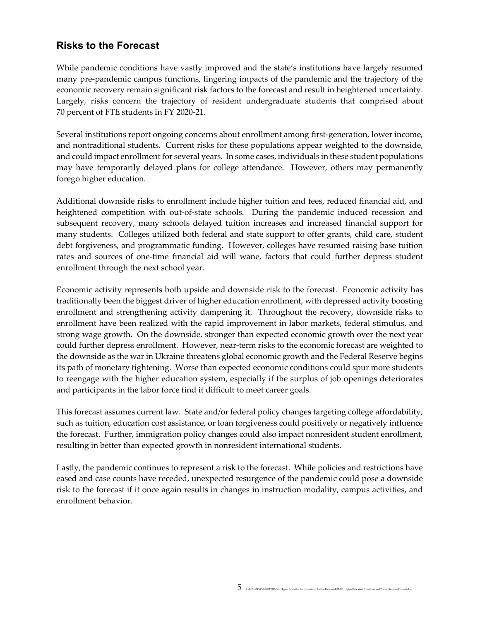### Risks to the Forecast

While pandemic conditions have vastly improved and the state's institutions have largely resumed many pre-pandemic campus functions, lingering impacts of the pandemic and the trajectory of the economic recovery remain significant risk factors to the forecast and result in heightened uncertainty. Largely, risks concern the trajectory of resident undergraduate students that comprised about 70 percent of FTE students in FY 2020-21.

Several institutions report ongoing concerns about enrollment among first-generation, lower income, and nontraditional students. Current risks for these populations appear weighted to the downside, and could impact enrollment for several years. In some cases, individuals in these student populations may have temporarily delayed plans for college attendance. However, others may permanently forego higher education.

Additional downside risks to enrollment include higher tuition and fees, reduced financial aid, and heightened competition with out-of-state schools. During the pandemic induced recession and subsequent recovery, many schools delayed tuition increases and increased financial support for many students. Colleges utilized both federal and state support to offer grants, child care, student debt forgiveness, and programmatic funding. However, colleges have resumed raising base tuition rates and sources of one-time financial aid will wane, factors that could further depress student enrollment through the next school year.

Economic activity represents both upside and downside risk to the forecast. Economic activity has traditionally been the biggest driver of higher education enrollment, with depressed activity boosting enrollment and strengthening activity dampening it. Throughout the recovery, downside risks to enrollment have been realized with the rapid improvement in labor markets, federal stimulus, and strong wage growth. On the downside, stronger than expected economic growth over the next year could further depress enrollment. However, near-term risks to the economic forecast are weighted to the downside as the war in Ukraine threatens global economic growth and the Federal Reserve begins its path of monetary tightening. Worse than expected economic conditions could spur more students to reengage with the higher education system, especially if the surplus of job openings deteriorates and participants in the labor force find it difficult to meet career goals.

This forecast assumes current law. State and/or federal policy changes targeting college affordability, such as tuition, education cost assistance, or loan forgiveness could positively or negatively influence the forecast. Further, immigration policy changes could also impact nonresident student enrollment, resulting in better than expected growth in nonresident international students.

Lastly, the pandemic continues to represent a risk to the forecast. While policies and restrictions have eased and case counts have receded, unexpected resurgence of the pandemic could pose a downside risk to the forecast if it once again results in changes in instruction modality, campus activities, and enrollment behavior.

 $\sum_{S:\text{LCS}\backslash\text{MEMOS}\backslash 2022\backslash\text{R22-361\_Higher Education Foundation Fraction Forest}\backslash\text{R22-361\_Higher Education Introduction Function}$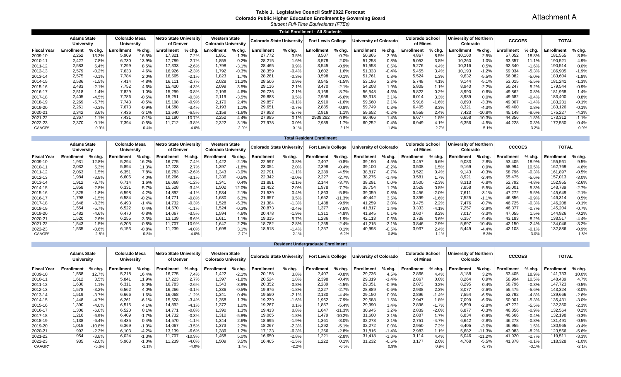#### **Table 1. Legislative Council Staff 2022 Forecast Colorado Public Higher Education Enrollment by Governing Board**

*Student Full-Time Equivalents (FTEs)*

|                    |                                  |         |                             |          |                                     |          |                                                    |         |                           |          | <b>Total Enrollment - All Students</b> |         |                               |          |                                    |          |                                           |          |               |         |                   |          |
|--------------------|----------------------------------|---------|-----------------------------|----------|-------------------------------------|----------|----------------------------------------------------|---------|---------------------------|----------|----------------------------------------|---------|-------------------------------|----------|------------------------------------|----------|-------------------------------------------|----------|---------------|---------|-------------------|----------|
|                    | <b>Adams State</b><br>University |         | Colorado Mesa<br>University |          | Metro State University<br>of Denver |          | <b>Western State</b><br><b>Colorado University</b> |         | Colorado State University |          | <b>Fort Lewis College</b>              |         | <b>Jniversity of Colorado</b> |          | <b>Colorado School</b><br>of Mines |          | <b>University of Northern</b><br>Colorado |          | <b>CCCOES</b> |         | <b>TOTAL</b>      |          |
| <b>Fiscal Year</b> | Enrollment                       | % chg.  | Enrollment                  | $%$ chg. | Enrollment                          | $%$ chg. | Enrollment                                         | % chg.  | Enrollment                | $%$ chg. | Enrollment                             | % chg.  | Enrollment                    | $%$ chg. | Enrollment                         | $%$ chg. | Enrollment                                | % chg.   | Enrollment    | % chg.  | <b>Enrollment</b> | $%$ chg. |
| 2009-10            | 2.252                            | 13.3%   | 5,909                       | 16.5%    | 17,321                              | 7.2%     | 1,851                                              | $-1.3%$ | 27,772                    | 3.5%     | 3,507                                  | $-0.7%$ | 50,865                        | 3.9%     | 4,867                              | 8.5%     | 10,160                                    | 2.5%     | 57,052        | 18.8%   | 181,555           | 8.8%     |
| 2010-11            | 2.427                            | 7.8%    | 6,730                       | 13.9%    | 17.789                              | 2.7%     | 1,855                                              | 0.2%    | 28,215                    | 1.6%     | 3.578                                  | 2.0%    | 51,258                        | 0.8%     | 5,052                              | 3.8%     | 10,260                                    | 1.0%     | 63,357        | 11.1%   | 190,521           | 4.9%     |
| 2011-12            | 2,583                            | 6.4%    | 7,299                       | 8.5%     | 17,333                              | $-2.6%$  | 1,798                                              | $-3.1%$ | 28,465                    | 0.9%     | 3,545                                  | $-0.9%$ | 51,558                        | 0.6%     | 5,276                              | 4.4%     | 10,316                                    | 0.5%     | 62,340        | $-1.6%$ | 190,514           | 0.0%     |
| 2012-13            | 2,579                            | $-0.2%$ | 7,633                       | 4.6%     | 16,926                              | $-2.3%$  | 1,792                                              | $-0.3%$ | 28,359                    | $-0.4%$  | 3,602                                  | 1.6%    | 51,333                        | $-0.4%$  | 5,455                              | 3.4%     | 10,193                                    | $-1.2%$  | 59,034        | $-5.3%$ | 186,905           | $-1.9%$  |
| 2013-14            | 2,575                            | $-0.1%$ | 7,784                       | 2.0%     | 16,565                              | $-2.1%$  | 1,823                                              | 1.7%    | 28,261                    | $-0.3%$  | 3,598                                  | $-0.1%$ | 51,761                        | 0.8%     | 5,524                              | 1.3%     | 9,632                                     | $-5.5%$  | 56,082        | $-5.0%$ | 183,604           | $-1.8%$  |
| 2014-15            | 2,536                            | $-1.5%$ | 7,414                       | $-4.8%$  | 16,111                              | $-2.7%$  | 2,028                                              | 11.2%   | 28,506                    | 0.9%     | 3,545                                  | $-1.5%$ | 53,196                        | 2.8%     | 5,748                              | 4.1%     | 9,144                                     | $-5.1%$  | 53,015        | $-5.5%$ | 181,241           | $-1.3%$  |
| 2015-16            | 2,483                            | $-2.1%$ | 7,752                       | 4.6%     | 15,420                              | $-4.3%$  | 2,099                                              | 3.5%    | 29,116                    | 2.1%     | 3.470                                  | $-2.1%$ | 54,208                        | 1.9%     | 5,809                              | 1.1%     | 8,940                                     | $-2.2%$  | 50,247        | $-5.2%$ | 179,544           | $-0.9%$  |
| 2016-17            | 2.518                            | 1.4%    | 7,829                       | 1.0%     | 15,299                              | $-0.8%$  | 2,196                                              | 4.6%    | 29,736                    | 2.1%     | 3.168                                  | $-8.7%$ | 56,548                        | 4.3%     | 5,822                              | 0.2%     | 8,990                                     | 0.6%     | 49,862        | $-0.8%$ | 181,968           | 1.4%     |
| 2017-18            | 2,405                            | $-4.5%$ | 7,786                       | $-0.5%$  | 15,251                              | $-0.3%$  | 2.119                                              | $-3.5%$ | 29,883                    | 0.5%     | 2,958                                  | $-6.6%$ | 58,313                        | 3.1%     | 6,014                              | 3.3%     | 8,989                                     | $0.0\%$  | 49,682        | $-0.4%$ | 183,400           | 0.8%     |
| 2018-19            | 2,269                            | $-5.7%$ | 7.743                       | $-0.5%$  | 15,108                              | $-0.9%$  | 2.170                                              | 2.4%    | 29,857                    | $-0.1%$  | 2,910                                  | $-1.6%$ | 59,560                        | 2.1%     | 5,916                              | $-1.6%$  | 8,693                                     | $-3.3%$  | 49,007        | $-1.4%$ | 183,231           | $-0.1%$  |
| 2019-20            | 2,261                            | $-0.3%$ | 7,673                       | $-0.9%$  | 14,588                              | $-3.4%$  | 2.193                                              | 1.1%    | 29.651                    | $-0.7%$  | 2,885                                  | $-0.8%$ | 59,749                        | 0.3%     | 6.405                              | 8.3%     | 8.321                                     | $-4.3%$  | 49,400        | 0.8%    | 183,126           | $-0.1%$  |
| 2020-21            | 2.342                            | 3.6%    | 7.436                       | $-3.1\%$ | 13,640                              | $-6.5%$  | 2.158                                              | $-1.6%$ | 27,953                    | $-5.7%$  | 2.916                                  | 1.1%    | 59,652                        | $-0.2%$  | 6.559                              | 2.4%     | 7.423                                     | $-10.8%$ | 45,148        | $-8.6%$ | 175,227           | $-4.3%$  |
| 2021-22            | 2.367                            | 1.1%    | 7.431                       | $-0.1%$  | 12,180                              | $-10.7%$ | 2.252                                              | 4.4%    | 27,985                    | 0.1%     | 2938.282                               | 0.8%    | 60,466                        | 1.4%     | 6,677                              | 1.8%     | 6,658                                     | $-10.3%$ | 44,356        | $-1.8%$ | 173,312           | $-1.1%$  |
| 2022-23            | 2.370                            | 0.1%    | 7.394                       | $-0.5%$  | 11.712                              | $-3.8%$  | 2.322                                              | 3.1%    | 27,978                    | $0.0\%$  | 2.989                                  | 1.7%    | 60,252                        | $-0.4%$  | 6.949                              | 4.1%     | 6.356                                     | $-4.5%$  | 44,228        | $-0.3%$ | 172,550           | $-0.4%$  |
| CAAGR*             |                                  | $-0.9%$ |                             | $-0.4%$  |                                     | $-4.0%$  |                                                    | 2.9%    |                           | $-0.1%$  |                                        | $-2.1%$ |                               | 1.8%     |                                    | 2.7%     |                                           | $-5.1%$  |               | $-3.2%$ |                   | $-0.9%$  |

|                    |                                         |         |                             |         |                                            |          |                                                    |         |                           |          | <b>Total Resident Enrollment</b> |          |                        |         |                                    |         |                                           |          |               |            |            |          |
|--------------------|-----------------------------------------|---------|-----------------------------|---------|--------------------------------------------|----------|----------------------------------------------------|---------|---------------------------|----------|----------------------------------|----------|------------------------|---------|------------------------------------|---------|-------------------------------------------|----------|---------------|------------|------------|----------|
|                    | <b>Adams State</b><br><b>University</b> |         | Colorado Mesa<br>University |         | <b>Metro State University</b><br>of Denver |          | <b>Western State</b><br><b>Colorado University</b> |         | Colorado State University |          | <b>Fort Lewis College</b>        |          | University of Colorado |         | <b>Colorado School</b><br>of Mines |         | <b>University of Northern</b><br>Colorado |          | <b>CCCOES</b> |            | TOTAL      |          |
| <b>Fiscal Year</b> | Enrollment                              | % chg.  | Enrollment                  | % cha.  | Enrollment                                 | % cha.   | Enrollment                                         | % chg.  | Enrollment                | $%$ chg. | <b>Enrollment</b>                | % cha.   | Enrollment             | % cha.  | Enrollment                         | % cha.  | Enrollment                                | $%$ chg. | Enrollment    | % cha      | Enrollment | $%$ chg. |
| 2009-10            | 1,931                                   | 12.8%   | 5,294                       | 16.2%   | 16,775                                     | 7.4%     | 1,422                                              | $-2.1%$ | 22,597                    | 3.8%     | 2,407                            | $-0.8%$  | 39,190                 | 4.5%    | 3,457                              | 6.6%    | 9,083                                     | 2.8%     | 53,405        | 18.9%      | 155,561    | 9.5%     |
| 2010-11            | 2,032                                   | 5.3%    | 5,894                       | 11.3%   | 17,223                                     | 2.7%     | 1,397                                              | $-1.8%$ | 23,054                    | 2.0%     | 2,398                            | $-0.4%$  | 39,100                 | $-0.2%$ | 3,508                              | 1.5%    | 9,169                                     | 0.9%     | 58,994        | 10.5%      | 162,769    | 4.6%     |
| 2011-12            | 2,063                                   | 1.5%    | 6,351                       | 7.8%    | 16,783                                     | $-2.6%$  | 1,343                                              | $-3.9%$ | 22,791                    | $-1.1%$  | 2.289                            | $-4.5%$  | 38,817                 | $-0.7%$ | 3.522                              | 0.4%    | 9.143                                     | $-0.3%$  | 58,796        | $-0.3%$    | 161,897    | $-0.5%$  |
| 2012-13            | 1,984                                   | $-3.8%$ | 6,606                       | 4.0%    | 16,266                                     | $-3.1%$  | 1,336                                              | $-0.5%$ | 22,342                    | $-2.0%$  | 2.227                            | $-2.7%$  | 38,275                 | $-1.4%$ | 3,581                              | 1.7%    | 8,921                                     | $-2.4%$  | 55,475        | $-5.6%$    | 157,013    | $-3.0%$  |
| 2013-14            | 1,912                                   | $-3.7%$ | 6.714                       | 1.6%    | 16,068                                     | $-1.2%$  | 1,341                                              | 0.4%    | 21,881                    | $-2.1%$  | 2.144                            | $-3.7%$  | 38.291                 | 0.0%    | 3.500                              | $-2.3%$ | 8,313                                     | $-6.8%$  | 52,792        | $-4.8%$    | 152,955    | $-2.6%$  |
| 2014-15            | 1,858                                   | $-2.8%$ | 6,331                       | $-5.7%$ | 15,528                                     | $-3.4%$  | 1.502                                              | 12.0%   | 21.452                    | $-2.0%$  | 1.978                            | $-7.7%$  | 38.754                 | 1.2%    | 3.528                              | 0.8%    | 7,858                                     | $-5.5%$  | 50,001        | $-5.3%$    | 148.789    | $-2.7%$  |
| 2015-16            | 1,825                                   | $-1.8%$ | 6,598                       | 4.2%    | 14,892                                     | $-4.1%$  | 1.534                                              | 2.1%    | 21,539                    | 0.4%     | 1,863                            | $-5.8%$  | 39,059                 | 0.8%    | 3,456                              | $-2.0%$ | 7.611                                     | $-3.1%$  | 47,272        | $-5.5%$    | 145,649    | $-2.1%$  |
| 2016-17            | 1,798                                   | $-1.5%$ | 6,584                       | $-0.2%$ | 14,771                                     | $-0.8%$  | 1,630                                              | 6.3%    | 21,657                    | 0.5%     | 1.652                            | $-11.3%$ | 40,442                 | 3.5%    | 3,399                              | $-1.6%$ | 7,525                                     | $-1.1%$  | 46,856        | $-0.9%$    | 146,314    | 0.5%     |
| 2017-18            | 1,648                                   | $-8.3%$ | 6,493                       | $-1.4%$ | 14,732                                     | $-0.3%$  | 1,528                                              | $-6.3%$ | 21,384                    | $-1.3%$  | 1.488                            | $-9.9%$  | 41.259                 | 2.0%    | 3.475                              | 2.2%    | 7,476                                     | $-0.7%$  | 46,725        | $-0.3%$    | 146,208    | $-0.1%$  |
| 2018-19            | 1,554                                   | $-5.7%$ | 6,522                       | 0.4%    | 14,570                                     | $-1.1%$  | 1,524                                              | $-0.3%$ | 20,873                    | $-2.4%$  | 1.377                            | $-7.5%$  | 41,817                 | 1.4%    | 3,333                              | $-4.1%$ | 7,257                                     | $-2.9%$  | 46,377        | $-0.7%$    | 145,204    | $-0.7%$  |
| 2019-20            | 1,482                                   | $-4.6%$ | 6,470                       | $-0.8%$ | 14.067                                     | $-3.5%$  | 1,594                                              | 4.6%    | 20,478                    | $-1.9%$  | 1.311                            | $-4.8%$  | 41,845                 | 0.1%    | 3,607                              | 8.2%    | 7,017                                     | $-3.3%$  | 47,055        | 1.5%       | 144,926    | $-0.2%$  |
| 2020-21            | 1,520                                   | 2.6%    | 6,255                       | $-3.3%$ | 13,139                                     | $-6.6%$  | 1.611                                              | 1.1%    | 19,315                    | $-5.7\%$ | 1.286                            | $-1.9%$  | 42,113                 | 0.6%    | 3.738                              | 3.6%    | 6,357                                     | $-9.4%$  | 43,183        | $-8.2%$    | 138,517    | $-4.4%$  |
| 2021-22            | 1,543                                   | 1.5%    | 6,205                       | $-0.8%$ | 11,707                                     | $-10.9%$ | 1,647                                              | 2.2%    | 18,782                    | $-2.8%$  | 1.255                            | $-2.4%$  | 41,215                 | $-2.1%$ | 3,846                              | 2.9%    | 5,697                                     | 10.4%    | 42,150        | $-2.4%$    | 134,046    | $-3.2%$  |
| 2022-23            | 1,535                                   | $-0.6%$ | 6.153                       | $-0.8%$ | 11.239                                     | $-4.0%$  | 1,698                                              | 3.1%    | 18,518                    | $-1.4%$  | 1.257                            | 0.1%     | 40,993                 | $-0.5%$ | 3.937                              | 2.4%    | 5.449                                     | $-4.4%$  | 42,108        | $-0.1\%$ . | 132,886    | $-0.9%$  |
| CAAGR*             |                                         | $-2.8%$ |                             | $-0.8%$ |                                            | $-4.0%$  |                                                    | 2.7%    |                           | $-2.1%$  |                                  | $-6.2%$  |                        | 0.8%    |                                    |         |                                           | $-5.3%$  |               | $-3.0%$    |            | $-1.8%$  |

|                    |                                  |         |                                    |         |                                            |           |                                                    |          |                           |         | <b>Resident Undergraduate Enrollment</b> |          |                        |         |                                    |          |                                    |          |               |          |              |         |
|--------------------|----------------------------------|---------|------------------------------------|---------|--------------------------------------------|-----------|----------------------------------------------------|----------|---------------------------|---------|------------------------------------------|----------|------------------------|---------|------------------------------------|----------|------------------------------------|----------|---------------|----------|--------------|---------|
|                    | <b>Adams State</b><br>University |         | <b>Colorado Mesa</b><br>University |         | <b>Metro State University</b><br>of Denver |           | <b>Western State</b><br><b>Colorado University</b> |          | Colorado State University |         | <b>Fort Lewis College</b>                |          | University of Colorado |         | <b>Colorado School</b><br>of Mines |          | University of Northern<br>Colorado |          | <b>CCCOES</b> |          | <b>TOTAL</b> |         |
| <b>Fiscal Year</b> | <b>Enrollment</b>                | % chg.  | Enrollment                         | % chg.  | <b>Enrollment</b>                          | % chg.    | <b>Enrollment</b>                                  | $%$ chg. | <b>Enrollment</b>         | % chg.  | <b>Enrollment</b>                        | $%$ chg. | <b>Enrollment</b>      | % chg.  | Enrollment                         | $%$ chg. | <b>Enrollment</b>                  | % chg.   | Enrollment    | $%$ chg. | Enrollment   | % chg.  |
| 2009-10            | 1,558                            | 12.7%   | 5,218                              | 16.4%   | 16,775                                     | 7.4%      | 1,422                                              | $-2.1%$  | 20,158                    | 3.8%    | 2.407                                    | $-0.8%$  | 29,736                 | 4.5%    | 2,866                              | 4.4%     | 8,188                              | 3.2%     | 53,405        | 18.9%    | 141,733      | 10.0%   |
| 2010-11            | 1,612                            | 3.5%    | 5,841                              | 11.9%   | 17,223                                     | 2.7%      | 1,397                                              | $-1.8%$  | 20,524                    | 1.8%    | 2,398                                    | $-0.4%$  | 29,319                 | $-1.4%$ | 2,867                              | 0.0%     | 8,264                              | 0.9%     | 58,994        | 10.5%    | 148,439      | 4.7%    |
| 2011-12            | 1,630                            | 1.1%    | 6,311                              | 8.0%    | 16,783                                     | $-2.6%$   | 1,343                                              | $-3.9%$  | 20,352                    | $-0.8%$ | 2,289                                    | $-4.5%$  | 29,051                 | $-0.9%$ | 2,873                              | 0.2%     | 8,295                              | 0.4%     | 58,796        | $-0.3%$  | 147,723      | $-0.5%$ |
| 2012-13            | 1,578                            | $-3.2%$ | 6,562                              | 4.0%    | 16,266                                     | $-3.1%$   | 1,336                                              | $-0.5%$  | 19,976                    | $-1.8%$ | 2.227                                    | $-2.7%$  | 28,889                 | $-0.6%$ | 2,938                              | 2.3%     | 8,077                              | $-2.6%$  | 55,475        | $-5.6%$  | 143,324      | $-3.0%$ |
| 2013-14            | 1,519                            | $-3.7%$ | 6,666                              | 1.6%    | 16,068                                     | $-1.2%$   | 1.341                                              | 0.4%     | 19,550                    | $-2.1%$ | 2.130                                    | $-4.4%$  | 29,150                 | 0.9%    | 2,896                              | $-1.4%$  | 7,554                              | $-6.5%$  | 52,792        | $-4.8%$  | 139,666      | $-2.6%$ |
| 2014-15            | 1,448                            | $-4.7%$ | 6,261                              | $-6.1%$ | 15,528                                     | $-3.4%$   | 1,358                                              | 1.3%     | 19,239                    | $-1.6%$ | 1,962                                    | $-7.9%$  | 29,588                 | 1.5%    | 2,947                              | 1.8%     | 7,099                              | $-6.0%$  | 50,001        | $-5.3%$  | 135,431      | $-3.0%$ |
| 2015-16            | 1,390                            | $-4.0%$ | 6,515                              | 4.1%    | 14,892                                     | $-4.1%$   | 1,372                                              | 1.0%     | 19,267                    | 0.1%    | 1,857                                    | $-5.4%$  | 29,990                 | 1.4%    | 2,896                              | $-1.7%$  | 6,899                              | $-2.8%$  | 47,272        | $-5.5%$  | 132,350      | $-2.3%$ |
| 2016-17            | 1,306                            | $-6.0%$ | 6,520                              | 0.1%    | 14.771                                     | $-0.8%$   | 1,390                                              | 1.3%     | 19,413                    | 0.8%    | 1,647                                    | $-11.3%$ | 30,945                 | 3.2%    | 2,839                              | $-2.0%$  | 6,877                              | $-0.3%$  | 46,856        | $-0.9%$  | 132,564      | 0.2%    |
| 2017-18            | 1,216                            | $-6.9%$ | 6,409                              | $-1.7%$ | 14,732                                     | $-0.3%$   | 1,310                                              | $-5.8%$  | 19,065                    | $-1.8%$ | 1.479                                    | $-10.2%$ | 31,600                 | 2.1%    | 2,887                              | 1.7%     | 6,834                              | $-0.6%$  | 46,666        | $-0.4%$  | 132,198      | $-0.3%$ |
| 2018-19            | 1,138                            | $-6.4%$ | 6,435                              | 0.4%    | 14,570                                     | $-1.1\%$  | 1,344                                              | 2.6%     | 18,695                    | $-1.9%$ | 1,361                                    | $-8.0%$  | 32,278                 | 2.1%    | 2,751                              | $-4.7%$  | 6,642                              | $-2.8%$  | 46,278        | $-0.8%$  | 131,491      | $-0.5%$ |
| 2019-20            | 1,015                            | 10.8%   | 6,369                              | $-1.0%$ | 14.067                                     | $-3.5%$   | 1,373                                              | 2.2%     | 18,267                    | $-2.3%$ | 1,292                                    | $-5.1%$  | 32,272                 | 0.0%    | 2,950                              | 7.2%     | 6,405                              | $-3.6%$  | 46,955        | 1.5%     | 130,965      | $-0.4%$ |
| 2020-21            | 992                              | $-2.3%$ | 6,103                              | $-4.2%$ | 13,139                                     | $-6.6%$   | 1,389                                              | 1.2%     | 17,123                    | $-6.3%$ | 1,256                                    | $-2.8%$  | 31,816                 | $-1.4%$ | 2,983                              | 1.1%     | 5,682                              | $-11.3%$ | 43,083        | $-8.2%$  | 123,566      | $-5.6%$ |
| 2021-22            | 954                              | $-3.8%$ | 6,024                              | $-1.3%$ | 11.707                                     | $-10.9\%$ | 1,458                                              | 5.0%     | 16,650                    | $-2.8%$ | 1.221                                    | $-2.8%$  | 31,418                 | $-1.3%$ | 3,114                              | 4.4%     | 5,046                              | $-11.2%$ | 41,920        | $-2.7%$  | 119,511      | $-3.3%$ |
| 2022-23            | 935                              | $-2.0%$ | 5,963                              | $-1.0%$ | 11.239                                     | $-4.0%$   | 1.509                                              | 3.5%     | 16,405                    | $-1.5%$ | 1.222                                    | 0.1%     | 31,232                 | $-0.6%$ | 3.177                              | 2.0%     | 4,768                              | $-5.5%$  | 41,878        | $-0.1%$  | 118,328      | $-1.0%$ |
| CAAGR*             |                                  | $-5.6%$ |                                    | $-1.1%$ |                                            | $-4.0%$   |                                                    | 1.4%     |                           | $-2.2%$ |                                          | $-6.5%$  |                        | 0.9%    |                                    | 0.9%     |                                    | $-5.7%$  |               | $-3.1%$  |              | $-2.1%$ |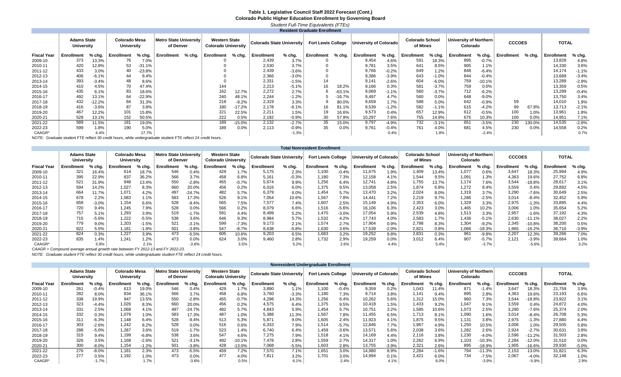#### **Table 1. Legislative Council Staff 2022 Forecast (Cont.) Colorado Public Higher Education Enrollment by Governing Board** *Student Full-Time Equivalents (FTEs)*

|                    |                                         |          |                                    |          |                                     |        |                                                    |          |                           |          | <b>Resident Graduate Enrollment</b> |          |                        |         |                                    |         |                                    |          |               |        |              |         |
|--------------------|-----------------------------------------|----------|------------------------------------|----------|-------------------------------------|--------|----------------------------------------------------|----------|---------------------------|----------|-------------------------------------|----------|------------------------|---------|------------------------------------|---------|------------------------------------|----------|---------------|--------|--------------|---------|
|                    | <b>Adams State</b><br><b>University</b> |          | Colorado Mesa<br><b>University</b> |          | Metro State University<br>of Denver |        | <b>Western State</b><br><b>Colorado University</b> |          | Colorado State University |          | <b>Fort Lewis College</b>           |          | University of Colorado |         | <b>Colorado School</b><br>of Mines |         | University of Northern<br>Colorado |          | <b>CCCOES</b> |        | <b>TOTAL</b> |         |
| <b>Fiscal Year</b> | Enrollment                              | % chg.   | Enrollment                         | % chg.   | Enrollment                          | % chg. | <b>Enrollment</b>                                  | % chg.   | Enrollment                | $%$ chg. | Enrollment                          | % chg.   | Enrollment             | % chg.  | Enrollment                         | % chg.  | Enrollment                         | % chg.   | Enrollment    | % chg. | Enrollment   | % chg.  |
| 2009-10            | 373                                     | 13.3%    | 76                                 | 7.0%     |                                     |        |                                                    |          | 2,439                     | 3.7%     |                                     |          | 9,454                  | 4.6%    | 591                                | 18.3%   | 895                                | $-0.7%$  |               |        | 13,828       | 4.8%    |
| 2010-11            | 420                                     | 12.8%    | 53                                 | $-31.1%$ |                                     |        |                                                    |          | 2,530                     | 3.7%     |                                     |          | 9,781                  | 3.5%    | 641                                | 8.5%    | 905                                | 1.1%     |               |        | 14,330       | 3.6%    |
| 2011-12            | 433                                     | 3.0%     | 40                                 | $-23.8%$ |                                     |        |                                                    |          | 2,439                     | $-3.6%$  |                                     |          | 9,766                  | $-0.2%$ | 649                                | 1.2%    | 848                                | $-6.4%$  |               |        | 14,174       | $-1.1%$ |
| 2012-13            | 406                                     | $-6.1%$  | 44                                 | 9.4%     |                                     |        |                                                    |          | 2,366                     | $-3.0%$  |                                     |          | 9,386                  | $-3.9%$ | 643                                | $-1.0%$ | 844                                | $-0.4%$  |               |        | 13,689       | $-3.4%$ |
| 2013-14            | 393                                     | $-3.4%$  | 48                                 | 8.6%     |                                     |        |                                                    |          | 2,331                     | $-1.5%$  |                                     |          | 9,141                  | $-2.6%$ | 604                                | $-6.0%$ | 759                                | $-10.1%$ |               |        | 13,289       | $-2.9%$ |
| 2014-15            | 410                                     | 4.5%     | 70                                 | 47.4%    |                                     |        | 144                                                |          | 2,213                     | $-5.1%$  | 16                                  | 18.2%    | 9,166                  | 0.3%    | 581                                | $-3.7%$ | 759                                | 0.0%     |               |        | 13,359       | 0.5%    |
| 2015-16            | 435                                     | 6.1%     | 83                                 | 18.6%    |                                     |        | 162                                                | 12.7%    | 2,272                     | 2.7%     |                                     | $-63.1%$ | 9,069                  | $-1.1%$ | 560                                | $-3.7%$ | 712                                | $-6.2%$  |               |        | 13,299       | $-0.4%$ |
| 2016-17            | 492                                     | 13.1%    | 64                                 | $-22.9%$ |                                     |        | 240                                                | 48.1%    | 2,244                     | $-1.2%$  |                                     | $-16.7%$ | 9.497                  | 4.7%    | 560                                | 0.0%    | 648                                | $-9.0%$  |               |        | 13,750       | 3.4%    |
| 2017-18            | 432                                     | $-12.2%$ | 84                                 | 31.3%    |                                     |        | 218                                                | $-9.2%$  | 2,319                     | 3.3%     |                                     | 80.0%    | 9,659                  | 1.7%    | 588                                | 5.0%    | 642                                | $-0.9%$  | 59            |        | 14,010       | 1.9%    |
| 2018-19            | 416                                     | $-3.6%$  | 87                                 | 3.8%     |                                     |        | 180                                                | $-17.2%$ | 2,178                     | $-6.1%$  |                                     | 81.1%    | 9,539                  | $-1.2%$ | 582                                | $-1.1%$ | 615                                | $-4.2%$  | 99            | 67.8%  | 13,713       | $-2.1%$ |
| 2019-20            | 467                                     | 12.2%    | 101                                | 15.8%    |                                     |        | 221                                                | 22.5%    | 2,211                     | 1.5%     |                                     | 16.6%    | 9,573                  | 0.4%    | 657                                | 12.9%   | 612                                | $-0.5%$  | 100           | 1.0%   | 13,961       | 1.8%    |
| 2020-21            | 528                                     | 13.1%    | 152                                | 50.5%    |                                     |        | 222                                                | 0.5%     | 2.192                     | $-0.9%$  | 30                                  | 57.9%    | 10,297                 | 7.6%    | 755                                | 14.9%   | 675                                | 10.3%    | 100           | 0.0%   | 14,951       | 7.1%    |
| 2021-22            | 589                                     | 11.5%    | 181                                | 19.0%    |                                     |        | 189                                                | $-15.0%$ | 2,132                     | $-2.7%$  | 35                                  | 15.0%    | 9,797                  | $-4.9%$ | 732                                | $-3.1%$ | 651                                | $-3.5%$  | 230           | 130.0% | 14,535       | $-2.8%$ |
| 2022-23            | 599                                     | 1.8%     | 190                                | 5.0%     |                                     |        | 189                                                | 0.0%     | 2,113                     | $-0.9%$  | 35                                  | 0.0%     | 9,761                  | $-0.4%$ | 761                                | 4.0%    | 681                                | 4.5%     | 230           | 0.0%   | 14,558       | 0.2%    |
| CAAGR*             |                                         | 4.4%     |                                    | 17.7%    |                                     |        |                                                    |          |                           | $-1.3%$  |                                     |          |                        | 0.4%    |                                    | 1.9%    |                                    | $-2.4%$  |               |        |              | 0.7%    |

NOTE: Graduate student FTE reflect 30 credit hours, while undergraduate student FTE reflect 24 credit hours.

|                    |                                         |         |                                    |          |                                     |          |                                                    |          |                                  |          | <b>Total Nonresident Enrollment</b> |         |                         |          |                                    |        |                                    |          |               |          |                   |          |
|--------------------|-----------------------------------------|---------|------------------------------------|----------|-------------------------------------|----------|----------------------------------------------------|----------|----------------------------------|----------|-------------------------------------|---------|-------------------------|----------|------------------------------------|--------|------------------------------------|----------|---------------|----------|-------------------|----------|
|                    | <b>Adams State</b><br><b>University</b> |         | Colorado Mesa<br><b>University</b> |          | Metro State University<br>of Denver |          | <b>Western State</b><br><b>Colorado University</b> |          | <b>Colorado State University</b> |          | <b>Fort Lewis College</b>           |         | ำniversity of Colorado⊺ |          | <b>Colorado School</b><br>of Mines |        | University of Northern<br>Colorado |          | <b>CCCOES</b> |          | <b>TOTAL</b>      |          |
| <b>Fiscal Year</b> | Enrollment                              | % chg.  | Enrollment                         | $%$ chg. | <b>Enrollment</b>                   | % chg.   | <b>Enrollment</b>                                  | $%$ chg. | Enrollment                       | $%$ chg. | Enrollment                          | % chg.  | Enrollment              | $%$ chg. | <b>Enrollment</b>                  | % chg. | Enrollment                         | % cha.   | Enrollment    | $%$ chg. | <b>Enrollment</b> | $%$ chg. |
| 2009-10            | 321                                     | 16.4%   | 614                                | 18.7%    | 546                                 | 0.4%     | 429                                                | 1.7%     | 5,175                            | 2.3%     | 1,100                               | $-0.4%$ | 1,675                   | 1.9%     | 1,409                              | 13.4%  | 1,077                              | 0.6%     | 3,647         | 18.3%    | 25,994            | 4.9%     |
| 2010-11            | 395                                     | 22.9%   | 837                                | 36.2%    | 566                                 | 3.7%     | 458                                                | 6.8%     | 5,161                            | $-0.3%$  | 1,180                               | 7.3%    | 12,158                  | 4.1%     | 1.544                              | 9.5%   | 1,091                              | 1.3%     | 4,363         | 19.6%    | 27,752            | 6.8%     |
| 2011-12            | 521                                     | 31.9%   | 948                                | 13.4%    | 550                                 | $-2.8%$  | 455                                                | $-0.7%$  | 5,674                            | 9.9%     | 1.256                               | 6.4%    | 12,741                  | 4.8%     | 1.755                              | 13.7%  | 1,174                              | 7.6%     | 3,544         | 18.8%    | 28,617            | 3.1%     |
| 2012-13            | 594                                     | 14.2%   | 1,027                              | 8.3%     | 660                                 | 20.0%    | 456                                                | 0.2%     | 6,016                            | 6.0%     | 1,375                               | 9.5%    | 13,058                  | 2.5%     | 1,874                              | 6.8%   | 1,272                              | 8.4%     | 3,559         | 0.4%     | 29,892            | 4.5%     |
| 2013-14            | 664                                     | 11.7%   | 1,071                              | 4.2%     | 497                                 | $-24.7%$ | 482                                                | 5.7%     | 6,379                            | 6.0%     | 1.454                               | 5.7%    | 13.470                  | 3.2%     | 2,024                              | 8.0%   | 1,319                              | 3.7%     | 3,290         | $-7.6%$  | 30,649            | 2.5%     |
| 2014-15            | 678                                     | 2.2%    | 1,083                              | 1.1%     | 583                                 | 17.3%    | 526                                                | 9.1%     | 7.054                            | 10.6%    | 1.567                               | 7.8%    | 14.441                  | 7.2%     | 2,219                              | 9.7%   | 1,286                              | $-2.5%$  | 3,014         | $-8.4%$  | 32,452            | 5.9%     |
| 2015-16            | 658                                     | $-3.0%$ | 1,154                              | 6.6%     | 528                                 | $-9.4%$  | 565                                                | 7.5%     | 7,577                            | 7.4%     | 1,607                               | 2.5%    | 15,149                  | 4.9%     | 2,353                              | 6.0%   | 1,329                              | 3.3%     | 2,975         | $-1.3%$  | 33,895            | 4.4%     |
| 2016-17            | 720                                     | 9.4%    | 1,245                              | 7.9%     | 528                                 | 0.0%     | 566                                                | 0.2%     | 8,079                            | 6.6%     | 1,516                               | $-5.6%$ | 16,106                  | 6.3%     | 2,423                              | 3.0%   | 1,465                              | 10.2%    | 3,006         | 1.0%     | 35,654            | 5.2%     |
| 2017-18            | 757                                     | 5.1%    | 1,293                              | 3.9%     | 519                                 | $-1.7%$  | 591                                                | 4.4%     | 8,499                            | 5.2%     | 1.470                               | $-3.0%$ | 17,054                  | 5.9%     | 2,539                              | 4.8%   | 1,513                              | 3.3%     | 2,957         | $-1.6%$  | 37,192            | 4.3%     |
| 2018-19            | 715                                     | $-5.6%$ | 1,222                              | $-5.5%$  | 538                                 | 3.6%     | 646                                                | 9.3%     | 8,984                            | 5.7%     | 1,532                               | 4.2%    | 17,743                  | 4.0%     | 2,583                              | 1.7%   | 1,436                              | $-5.1%$  | 2,630         | $-11.1%$ | 38,027            | 2.2%     |
| 2019-20            | 779                                     | 9.0%    | 1,203                              | $-1.5%$  | 521                                 | $-3.1%$  | 599                                                | $-7.3%$  | 9,173                            | 2.1%     | 1.574                               | 2.7%    | 17,904                  | 0.9%     | 2,798                              | 8.3%   | 1,304                              | $-9.2%$  | 2,345         | 10.8%    | 38,200            | 0.5%     |
| 2020-21            | 822                                     | 5.5%    | 1,181                              | $-1.8%$  | 501                                 | $-3.8%$  | 547                                                | $-8.7%$  | 8,638                            | $-5.8%$  | 1,630                               | 3.6%    | 17,539                  | $-2.0%$  | 2,82'                              | 0.8%   | 1,066                              | $-18.3%$ | 1,965         | $-16.2%$ | 36,710            | $-3.9%$  |
| 2021-22            | 824                                     | 0.3%    | 1,227                              | 3.9%     | 473                                 | $-5.5%$  | 605                                                | 10.6%    | 9,203                            | 6.5%     | 1,683                               | 3.2%    | 19,252                  | 9.8%     | 2,831                              | 0.3%   | 961                                | $-9.8%$  | 2,207         | 12.3%    | 39,266            | 7.0%     |
| 2022-23            | 835                                     | 1.4%    | 1.241                              | 1.2%     | 473                                 | 0.0%     | 624                                                | 3.0%     | 9,460                            | 2.8%     | 1.732                               | 2.9%    | 19,259                  | 0.0%     | 3,012                              | 6.4%   | 907                                | $-5.7\%$ | 2,121         | $-3.9%$  | 39,664            | 1.0%     |
| CAAGR*             |                                         | 3.9%    |                                    | 2.1%     |                                     | $-3.6%$  |                                                    | 3.5%     |                                  | 5.2%     |                                     | 2.6%    |                         | 4.4%     |                                    | 5.4%   |                                    | $-3.7%$  |               | $-5.6%$  |                   | 3.2%     |

*CAAGR = Compound average annual growth rate between FY 2012-13 and FY 2022-23.*

*NOTE: Graduate student FTE reflect 30 credit hours, while undergraduate student FTE reflect 24 credit hours.*

|                    |                                  |         |                             |          |                                            |          |                                                    |          |                                  |          | Nonresident Undergraduate Enrollment |          |                        |         |                                    |          |                                    |          |               |          |              |         |
|--------------------|----------------------------------|---------|-----------------------------|----------|--------------------------------------------|----------|----------------------------------------------------|----------|----------------------------------|----------|--------------------------------------|----------|------------------------|---------|------------------------------------|----------|------------------------------------|----------|---------------|----------|--------------|---------|
|                    | <b>Adams State</b><br>University |         | Colorado Mesa<br>University |          | <b>Metro State University</b><br>of Denver |          | <b>Western State</b><br><b>Colorado University</b> |          | <b>Colorado State University</b> |          | <b>Fort Lewis College</b>            |          | University of Colorado |         | <b>Colorado School</b><br>of Mines |          | University of Northern<br>Colorado |          | <b>CCCOES</b> |          | <b>TOTAL</b> |         |
| <b>Fiscal Year</b> | Enrollment                       | % chg.  | Enrollment                  | $%$ chg. | Enrollment                                 | % cha.   | Enrollment                                         | $%$ chg. | <b>Enrollment</b>                | $%$ chg. | <b>Enrollment</b>                    | $%$ chg. | Enrollment             | % chg.  | Enrollment                         | $%$ chg. | Enrollment                         | % chg.   | Enrollment    | % cha.   | Enrollment   | % chg.  |
| 2009-10            | 261                              | $-0.4%$ | 613                         | 19.0%    | 546                                        | 0.4%     | 429                                                | 1.7%     | 3,890                            | 1.1%     | 1,100                                | $-0.4%$  | 9,359                  | 0.2%    | 1,043                              | 11.4%    | 871                                | $-1.4%$  | 3,647         | 18.3%    | 21,759       | 3.9%    |
| 2010-11            | 282                              | 8.0%    | 834                         | 36.1%    | 566                                        | 3.7%     | 458                                                | 6.8%     | 3,760                            | $-3.3%$  | 1,180                                | 7.3%     | 9.714                  | 3.8%    | 1,141                              | 9.4%     | 895                                | 2.8%     | 4,363         | 19.6%    | 23,193       | 6.6%    |
| 2011-12            | 338                              | 19.9%   | 947                         | 13.5%    | 550                                        | $-2.8%$  | 455                                                | $-0.7%$  | 4,298                            | 14.3%    | 1,256                                | 6.4%     | 10,262                 | 5.6%    | 1,312                              | 15.0%    | 960                                | 7.3%     | 3,544         | -18.8%   | 23,922       | 3.1%    |
| 2012-13            | 323                              | $-4.4%$ | 1,026                       | 8.3%     | 660                                        | 20.0%    | 456                                                | 0.2%     | 4.575                            | 6.4%     | 1,375                                | 9.5%     | 10,418                 | 1.5%    | 1,433                              | 9.2%     | 1,047                              | 9.1%     | 3,559         | 0.4%     | 24,872       | 4.0%    |
| 2013-14            | 331                              | 2.5%    | 1,068                       | 4.1%     | 497                                        | $-24.7%$ | 482                                                | 5.7%     | 4.843                            | 5.9%     | 1.454                                | 5.7%     | 10,751                 | 3.2%    | 1,585                              | 10.6%    | 1,073                              | 2.5%     | 3,290         | $-7.6%$  | 25,374       | 2.0%    |
| 2014-15            | 332                              | 0.3%    | 1,079                       | 1.0%     | 583                                        | 17.3%    | 487                                                | 1.0%     | 5,388                            | 11.3%    | 1,567                                | 7.8%     | 11,455                 | 6.5%    | 1,713                              | 8.1%     | 1,090                              | 1.6%     | 3,014         | $-8.4\%$ | 26,708       | 5.3%    |
| 2015-16            | 311                              | $-6.3%$ | 1,148                       | 6.4%     | 528                                        | $-9.4%$  | 513                                                | 5.3%     | 5,871                            | 9.0%     | 1,605                                | 2.4%     | 11,923                 | 4.1%    | 1,875                              | 9.5%     | 1,131                              | 3.8%     | 2,975         | $-1.3%$  | 27,880       | 4.4%    |
| 2016-17            | 303                              | $-2.6%$ | 1,242                       | 8.2%     | 528                                        | 0.0%     | 516                                                | 0.6%     | 6,333                            | 7.9%     | 1,514                                | $-5.7%$  | 12,846                 | 7.7%    | 1,967                              | 4.9%     | 1,250                              | 10.5%    | 3,006         | 1.0%     | 29,505       | 5.8%    |
| 2017-18            | 288                              | $-5.0%$ | 1,287                       | 3.6%     | 519                                        | $-1.7%$  | 523                                                | 1.4%     | 6,740                            | 6.4%     | 1,459                                | $-3.6%$  | 13,571                 | 5.6%    | 2,038                              | 3.6%     | 1,282                              | 2.6%     | 2,924         | $-2.7%$  | 30,631       | 3.8%    |
| 2018-19            | 315                              | 9.4%    | 1,199                       | $-6.8%$  | 538                                        | 3.6%     | 547                                                | 4.6%     | 7,275                            | 7.9%     | 1,518                                | 4.1%     | 14,169                 | 4.4%    | 2,116                              | 3.8%     | 1,230                              | $-4.0%$  | 2,596         | $-11.2%$ | 31,503       | 2.8%    |
| 2019-20            | 326                              | 3.5%    | 1,168                       | $-2.6%$  | 521                                        | $-3.1%$  | 492                                                | $-10.1%$ | 7,478                            | 2.8%     | 1,559                                | 2.7%     | 14.317                 | 1.0%    | 2,262                              | 6.9%     | 1,103                              | $-10.3%$ | 2,284         | $-12.0%$ | 31,510       | 0.0%    |
| 2020-21            | 300                              | $-8.0%$ | 1,154                       | $-1.2%$  | 501                                        | $-3.8%$  | 428                                                | 13.0%    | 7.068                            | $-5.5%$  | 1,603                                | 2.8%     | 13,755                 | $-3.9%$ | 2,321                              | 2.6%     | 895                                | $-18.9%$ | 1,905         | $-16.6%$ | 29.930       | $-5.0%$ |
| 2021-22            | 276                              | $-8.0%$ | 1,181                       | 2.3%     | 473                                        | $-5.5%$  | 459                                                | 7.2%     | 7,570                            | 7.1%     | 1,651                                | 3.0%     | 14,980                 | 8.9%    | 2,284                              | -1.6%    | 794                                | $-11.3%$ | 2,153         | 13.0%    | 31,821       | 6.3%    |
| 2022-23            | 277                              | 0.5%    | 1.192                       | 1.0%     | 473                                        | 0.0%     | 477                                                | 4.0%     | 7.811                            | 3.2%     | 1.701                                | 3.0%     | 14,994                 | 0.1%    | 2.421                              | 6.0%     | 734                                | $-7.5%$  | 2,067         | $-4.0%$  | 32,148       | 1.0%    |
| CAAGR*             |                                  | $-1.7%$ |                             | 1.7%     |                                            | $-3.6%$  |                                                    | 0.5%     |                                  | 6.1%     |                                      | 2.4%     |                        | 4.1%    |                                    | 6.0%     |                                    | $-3.9%$  |               | $-5.9%$  |              | 2.9%    |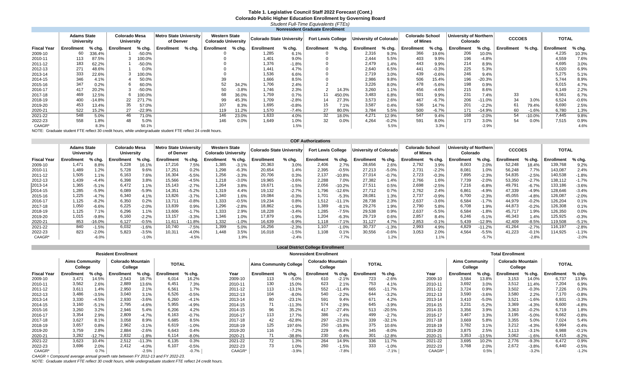#### **Table 1. Legislative Council Staff 2022 Forecast (Cont.) Colorado Public Higher Education Enrollment by Governing Board** *Student Full-Time Equivalents (FTEs)*

|                    |                                         |        |                                    |          |                                     |        |                                                    |         |                           |          | <b>Nonresident Graduate Enrollment</b> |        |                               |         |                                    |         |                                    |          |               |           |              |         |
|--------------------|-----------------------------------------|--------|------------------------------------|----------|-------------------------------------|--------|----------------------------------------------------|---------|---------------------------|----------|----------------------------------------|--------|-------------------------------|---------|------------------------------------|---------|------------------------------------|----------|---------------|-----------|--------------|---------|
|                    | <b>Adams State</b><br><b>University</b> |        | Colorado Mesa<br><b>University</b> |          | Metro State University<br>of Denver |        | <b>Western State</b><br><b>Colorado University</b> |         | Colorado State University |          | <b>Fort Lewis College</b>              |        | <b>Iniversity of Colorado</b> |         | <b>Colorado School</b><br>of Mines |         | University of Northern<br>Colorado |          | <b>CCCOES</b> |           | <b>TOTAL</b> |         |
| <b>Fiscal Year</b> | <b>Enrollment</b>                       | % chg. | Enrollment                         | % chg.   | Enrollment                          | % chg. | <b>Enrollment</b>                                  | % chg.  | <b>Enrollment</b>         | $%$ chg. | Enrollment                             | % chg. | <b>Enrollment</b>             | % chg.  | <b>Enrollment</b>                  | % chg.  | Enrollment                         | $%$ chg. | Enrollment    | % chg.    | Enrollment   | % chg.  |
| 2009-10            | 60                                      | 336.4% |                                    | $-50.0%$ |                                     |        |                                                    |         | 1.285                     | 6.1%     |                                        |        | 2,316                         | 9.3%    | 366                                | 19.6%   | 206                                | 10.0%    |               |           | 4,235        | 10.3%   |
| 2010-11            | 113                                     | 87.5%  |                                    | 00.0%    |                                     |        |                                                    |         | 1.401                     | 9.0%     |                                        |        | 2.444                         | 5.5%    | 403                                | 9.9%    | 196                                | $-4.8%$  |               |           | 4,559        | 7.6%    |
| 2011-12            | 183                                     | 62.2%  |                                    | $-50.0%$ |                                     |        |                                                    |         | 1,376                     | $-1.8%$  |                                        |        | 2.479                         | 1.4%    | 443                                | 9.9%    | 214                                | 8.9%     |               |           | 4,695        | 3.0%    |
| 2012-13            | 271                                     | 48.6%  |                                    | 0.0%     |                                     |        |                                                    |         | 1.441                     | 4.7%     |                                        |        | 2,640                         | 6.5%    | 441                                | $-0.3%$ | 225                                | 5.3%     |               |           | 5,020        | 6.9%    |
| 2013-14            | 333                                     | 22.6%  |                                    | 00.0%    |                                     |        |                                                    |         | 1.536                     | 6.6%     |                                        |        | 2,719                         | 3.0%    | 439                                | $-0.6%$ | 246                                | 9.4%     |               |           | 5.275        | 5.1%    |
| 2014-15            | 346                                     | 4.1%   |                                    | 50.0%    |                                     |        | 39                                                 |         | 1,666                     | 8.5%     |                                        |        | 2,986                         | 9.8%    | 506                                | 15.4%   | 196                                | $-20.3%$ |               |           | 5.744        | 8.9%    |
| 2015-16            | 347                                     | 0.2%   |                                    | 60.0%    |                                     |        | 52                                                 | 34.2%   | 1,706                     | 2.4%     |                                        |        | 3,226                         | 8.0%    | 478                                | $-5.6%$ | 198                                | 0.9%     |               |           | 6,015        | 4.7%    |
| 2016-17            | 417                                     | 20.2%  |                                    | $-50.0%$ |                                     |        | 50                                                 | $-3.8%$ | 1.746                     | 2.3%     |                                        | 14.3%  | 3,260                         | 1.1%    | 456                                | $-4.6%$ | 215                                | 8.6%     |               |           | 6.149        | 2.2%    |
| 2017-18            | 469                                     | 12.5%  |                                    | 00.0%    |                                     |        | 68                                                 | 36.0%   | 1,759                     | 0.7%     |                                        | 450.0% | 3,483                         | 6.8%    | 501                                | 9.9%    | 231                                | 7.4%     | 33            |           | 6,56         | 6.7%    |
| 2018-19            | 400                                     | -14.8% | 22                                 | 271.7%   |                                     |        | 99                                                 | 45.3%   | 1,709                     | $-2.8%$  | 14                                     | 27.3%  | 3,573                         | 2.6%    | 467                                | $-6.7%$ | 206                                | $-11.0%$ | 34            | 3.0%      | 6,524        | $-0.6%$ |
| 2019-20            | 453                                     | 13.4%  | 35                                 | 57.0%    |                                     |        | 107                                                | 8.3%    | 1,695                     | $-0.8%$  | 15                                     | 7.1%   | 3,587                         | 0.4%    | 536                                | 14.7%   | 201                                | $-2.2%$  | 61            | 79.4%     | 6,690        | 2.5%    |
| 2020-21            | 522                                     | 15.2%  | 27                                 | $-22.9%$ |                                     |        | 119                                                | 11.2%   | 1.570                     | $-7.4%$  | 27                                     | 80.0%  | 3.784                         | 5.5%    | 500                                | $-6.7%$ | 171                                | -14.9%   | 60            | $-1.6%$   | 6.780        | 1.3%    |
| 2021-22            | 548                                     | 5.0%   | 46                                 | 71.0%    |                                     |        | 146                                                | 23.0%   | 1,633                     | 4.0%     | 32                                     | 18.0%  | 4.271                         | 12.9%   | 547                                | 9.4%    | 168                                | $-2.0%$  | 54            | $-10.0\%$ | 7.445        | 9.8%    |
| 2022-23            | 558                                     | 1.8%   | 48                                 | 5.0%     |                                     |        | 146                                                | 0.0%    | 1.649                     | 1.0%     | 32                                     | 0.0%   | 4.264                         | $-0.2%$ | 591                                | 8.0%    | 173                                | 3.0%     | 54            | 0.0%      | 7,515        | 0.9%    |
| CAAGR*             |                                         | 8.3%   |                                    | 50.1%    |                                     |        |                                                    |         |                           | 1.5%     |                                        |        |                               | 5.5%    |                                    | 3.3%    |                                    | $-2.9%$  |               |           |              | 4.6%    |

NOTE: Graduate student FTE reflect 30 credit hours, while undergraduate student FTE reflect 24 credit hours.

|                    |                                  |         |                             |         |                                            |          |                                                    |         |                           |          | <b>COF Authorizations</b> |          |                        |          |                                    |         |                                    |          |               |         |                   |         |
|--------------------|----------------------------------|---------|-----------------------------|---------|--------------------------------------------|----------|----------------------------------------------------|---------|---------------------------|----------|---------------------------|----------|------------------------|----------|------------------------------------|---------|------------------------------------|----------|---------------|---------|-------------------|---------|
|                    | <b>Adams State</b><br>University |         | Colorado Mesa<br>University |         | <b>Metro State University</b><br>of Denver |          | <b>Western State</b><br><b>Colorado University</b> |         | Colorado State University |          | <b>Fort Lewis College</b> |          | University of Colorado |          | <b>Colorado School</b><br>of Mines |         | University of Northern<br>Colorado |          | <b>CCCOES</b> |         | <b>TOTAL</b>      |         |
| <b>Fiscal Year</b> | Enrollment                       | % chg.  | Enrollment                  | % cha.  | Enrollment                                 | % cha.   | <b>Enrollment</b>                                  | % chg.  | <b>Enrollment</b>         | $%$ chg. | <b>Enrollment</b>         | % cha.   | Enrollment             | $%$ chg. | Enrollment                         | % chg.  | Enrollment                         | % cha.   | Enrollment    | % chg.  | <b>Enrollment</b> | % chg.  |
| 2009-10            | 1,47'                            | 8.8%    | 5,228                       | 16.1%   | 17,216                                     | 7.5%     | 1,385                                              | $-3.1%$ | 20,363                    | 3.0%     | 2,406                     | 2.7%     | 28,656                 | 2.6%     | 2,792                              | 3.9%    | 8,003                              | 2.0%     | 52,248        | 18.4%   | 139,768           | 9.2%    |
| 2010-11            | 1,489                            | 1.2%    | 5,728                       | 9.6%    | 17.251                                     | 0.2%     | 1,298                                              | $-6.3%$ | 20,654                    | 1.4%     | 2,395                     | $-0.5%$  | 27,213                 | $-5.0%$  | 2,731                              | $-2.2%$ | 8,081                              | 1.0%     | 56,248        | 7.7%    | 143,087           | 2.4%    |
| 2011-12            | 1,505                            | 1.1%    | 6,163                       | 7.6%    | 16,304                                     | $-5.5%$  | 1,256                                              | $-3.3%$ | 20,706                    | 0.3%     | 2,137                     | $-10.8%$ | 27,014                 | $-0.7%$  | 2,723                              | $-0.3%$ | 7,895                              | $-2.3%$  | 54,835        | $-2.5%$ | 140,538           | $-1.8%$ |
| 2012-13            | 1,439                            | $-4.4%$ | 6,398                       | 3.8%    | 15,566                                     | $-4.5%$  | 1.218                                              | $-3.0%$ | 19,965                    | $-3.6%$  | 2.288                     | 7.0%     | 27,382                 | 1.4%     | 2.766                              | 1.6%    | 7.739                              | $-2.0%$  | 53,350        | $-2.7%$ | 138,112           | $-1.7%$ |
| 2013-14            | 1,365                            | $-5.1%$ | 6,472                       | 1.1%    | 15,143                                     | $-2.7%$  | 1,264                                              | 3.8%    | 19,671                    | $-1.5%$  | 2,056                     | $-10.2%$ | 27,511                 | 0.5%     | 2,698                              | $-2.5%$ | 7,216                              | $-6.8%$  | 49,791        | $-6.7%$ | 133,186           | $-3.6%$ |
| 2014-15            | 1,285                            | $-5.9%$ | 6,089                       | $-5.9%$ | 14.351                                     | $-5.2%$  | 1,319                                              | 4.4%    | 19,132                    | $-2.7%$  | 1.796                     | $-12.6%$ | 27.712                 | 0.7%     | 2.762                              | 2.4%    | 6,861                              | $-4.9%$  | 47,339        | $-4.9%$ | 128,646           | $-3.4%$ |
| 2015-16            | 1,225                            | $-4.7%$ | 6,340                       | 4.1%    | 13,826                                     | $-3.7%$  | 1,340                                              | 1.6%    | 19,084                    | $-0.3%$  | 1.701                     | $-5.3%$  | 28,081                 | 1.3%     | 2,737                              | $-0.9%$ | 6,700                              | $-2.3%$  | 45,055        | $-4.8%$ | 126,087           | $-2.0%$ |
| 2016-17            | 1,125                            | $-8.2%$ | 6,350                       | 0.2%    | 13,711                                     | $-0.8%$  | 1,333                                              | $-0.5%$ | 19,234                    | 0.8%     | 1,512                     | $-11.1%$ | 28,738                 | 2.3%     | 2,637                              | $-3.6%$ | 6,584                              | $-1.7%$  | 44,979        | $-0.2%$ | 126,204           | 0.1%    |
| 2017-18            | 1,050                            | $-6.6%$ | 6,225                       | $-2.0%$ | 13,839                                     | 0.9%     | 1.296                                              | $-2.8%$ | 18,862                    | $-1.9%$  | 1.389                     | $-8.1%$  | 29,276                 | 1.9%     | 2,790                              | 5.8%    | 6,708                              | 1.9%     | 44,873        | $-0.2%$ | 126,308           | 0.1%    |
| 2018-19            | 1,125                            | 7.1%    | 6,296                       | 1.1%    | 13,606                                     | $-1.7%$  | 1,333                                              | 2.9%    | 18,228                    | $-3.4%$  | 1.285                     | $-7.5%$  | 29,538                 | 0.9%     | 2,637                              | $-5.5%$ | 6,584                              | $-1.8%$  | 45,717        | 1.9%    | 126,350           | 0.0%    |
| 2019-20            | 1.015                            | $-9.8%$ | 6,160                       | $-2.2%$ | 13,157                                     | $-3.3%$  | 1.346                                              | 1.0%    | 17,879                    | $-1.9%$  | 1.204                     | $-6.3%$  | 29,719                 | 0.6%     | 2,857                              | 8.4%    | 6,246                              | $-5.1%$  | 46,343        | 1.4%    | 125,925           | $-0.3%$ |
| 2020-21            | 853                              | 16.0%   | 6,127                       | $-0.5%$ | 11,611                                     | $-11.8%$ | 1,332                                              | $-1.0%$ | 16,639                    | $-6.9%$  | 1.118                     | $-7.1\%$ | 31,127                 | 4.7%     | 2,853                              | $-0.1%$ | 5,439                              | -12.9%   | 42,409        | $-8.5%$ | 119,508           | $-5.1%$ |
| 2021-22            | 840                              | $-1.5%$ | 6,032                       | $-1.6%$ | 10,740                                     | $-7.5%$  | 1,399                                              | 5.0%    | 16,256                    | $-2.3%$  | 1.107                     | $-1.0%$  | 30,737                 | $-1.3%$  | 2,993                              | 4.9%    | 4.829                              | $-11.2%$ | 41,264        | $-2.7%$ | 116,197           | $-2.8%$ |
| 2022-23            | 823                              | $-2.0%$ | 5,823                       | $-3.5%$ | 10.311                                     | $-4.0%$  | 1.448                                              | 3.5%    | 16,018                    | $-1.5%$  | 1,108                     | 0.1%     | 30,556                 | $-0.6%$  | 3,053                              | 2.0%    | 4,564                              | $-5.5%$  | 41,223        | $-0.1%$ | 114,925           | $-1.1%$ |
| CAAGR*             |                                  | $-6.0%$ |                             | $-1.0%$ |                                            | $-4.5%$  |                                                    | 1.9%    |                           | $-2.4%$  |                           | $-7.7%$  |                        | 1.2%     |                                    | 1.1%    |                                    | $-5.7%$  |               | $-2.8%$ |                   | $-2.0%$ |

|                    |                                  |          |                                     |          |              |         |         |                        |          | <b>Local District College Enrollment</b> |           |                   |          |         |                                  |          |                                     |          |              |         |
|--------------------|----------------------------------|----------|-------------------------------------|----------|--------------|---------|---------|------------------------|----------|------------------------------------------|-----------|-------------------|----------|---------|----------------------------------|----------|-------------------------------------|----------|--------------|---------|
|                    |                                  |          | <b>Resident Enrollment</b>          |          |              |         |         |                        |          | <b>Nonresident Enrollment</b>            |           |                   |          |         |                                  |          | <b>Total Enrollment</b>             |          |              |         |
|                    | <b>Aims Community</b><br>College |          | <b>Colorado Mountain</b><br>College |          | <b>TOTAL</b> |         |         | Aims Community College |          | <b>Colorado Mountain</b><br>College      |           | <b>TOTAL</b>      |          |         | <b>Aims Community</b><br>College |          | <b>Colorado Mountain</b><br>College |          | <b>TOTAL</b> |         |
| <b>Fiscal Year</b> | Enrollment                       | $%$ chg. | Enrollment                          | $%$ chg. | Enrollment   | % chg.  | Year    | Enrollment             | $%$ chg. | <b>Enrollment</b>                        | % chg.    | <b>Enrollment</b> | % chg.   | Year    | Enrollment                       | % chg.   | Enrollment                          | $%$ chg. | Enrollment   | % chg.  |
| 2009-10            | 3.471                            | 14.5%    | 2,543                               | 18.7%    | 6.014        | 16.2%   | 2009-10 | 113                    | $-5.0%$  | 610                                      | $-2.1%$   | 723               | $-2.6%$  | 2009-10 | 3,584                            | 13.8%    | 3,153                               | 14.0%    | 6.737        | 13.9%   |
| 2010-11            | 3,562                            | 2.6%     | 2,889                               | 13.6%    | 6.451        | 7.3%    | 2010-11 | 130                    | 15.0%    | 623                                      | 2.1%      | 753               | 4.1%     | 2010-11 | 3,692                            | 3.0%     | 3,512                               | 11.4%    | 7.204        | 6.9%    |
| 2011-12            | 3,611                            | 1.4%     | 2,950                               | 2.1%     | 6.561        | 1.7%    | 2011-12 | 113                    | $-13.1%$ | 552                                      | $-11.4\%$ | 665               | $-11.7%$ | 2011-12 | 3,724                            | 0.9%     | 3,502                               | $-0.3%$  | 7,226        | 0.3%    |
| 2012-13            | 3,486                            | $-3.5%$  | 3,040                               | 3.1%     | 6,526        | $-0.5%$ | 2012-13 | 104                    | $-8.0%$  | 540                                      | $-2.2%$   | 644               | $-3.2%$  | 2012-13 | 3,590                            | $-3.6%$  | 3,580                               | 2.2%     | 7,170        | $-0.8%$ |
| 2013-14            | 3,330                            | $-4.5%$  | 2,930                               | $-3.6%$  | 6,260        | $-4.1%$ | 2013-14 | 80                     | $-23.1%$ | 591                                      | 9.4%      | 671               | 4.2%     | 2013-14 | 3,410                            | $-5.0%$  | 3,521                               | $-1.6%$  | 6,931        | $-3.3%$ |
| 2014-15            | 3,160                            | $-5.1%$  | 2,795                               | $-4.6%$  | 5,955        | $-4.9%$ | 2014-15 | 71                     | $-11.3%$ | 574                                      | $-2.9%$   | 645               | $-3.9%$  | 2014-15 | 3,231                            | $-5.2%$  | 3,369                               | $-4.3%$  | 6,600        | $-4.8%$ |
| 2015-16            | 3,260                            | 3.2%     | 2,946                               | 5.4%     | 6,206        | 4.2%    | 2014-15 | 96                     | 35.2%    | 417                                      | -27.4%    |                   | $-20.5%$ | 2014-15 | 3,356                            | 3.9%     | 3,363                               | $-0.2%$  | 6.719        | 1.8%    |
| 2016-17            | 3,354                            | 2.9%     | 2,809                               | $-4.7%$  | 6.163        | $-0.7%$ | 2016-17 | 113                    | 17.7%    | 386                                      | $-7.4%$   | 499               | $-2.7%$  | 2016-17 | 3,467                            | 3.3%     | 3,195                               | $-5.0%$  | 6,662        | $-0.8%$ |
| 2017-18            | 3.627                            | 8.1%     | 3,058                               | 8.9%     | 6,685        | 8.5%    | 2017-18 | 42                     | $-62.8%$ | 297                                      | $-23.1%$  | 339               | $-32.1%$ | 2017-18 | 3,669                            | 5.8%     | 3,355                               | 5.0%     | 7,024        | 5.4%    |
| 2018-19            | 3,657                            | 0.8%     | 2,962                               | $-3.1%$  | 6.619        | $-1.0%$ | 2018-19 | 125                    | 197.6%   | 250                                      | $-15.8%$  | 375               | 10.6%    | 2018-19 | 3,782                            | 3.1%     | 3,212                               | $-4.3%$  | 6,994        | $-0.4%$ |
| 2019-20            | 3,759                            | 2.8%     | 2,884                               | $-2.6%$  | 6.643        | 0.4%    | 2019-20 | 116                    | $-7.2%$  | 229                                      | $-8.4%$   | 345               | $-8.0%$  | 2019-20 | 3,875                            | 2.5%     | 3,113                               | $-3.1%$  | 6,988        | $-0.1%$ |
| 2020-21            | 3,282                            | $-12.7%$ | 2,832                               | $-1.8%$  | 6,114        | $-8.0%$ | 2020-21 | 71                     | $-38.8%$ | 230                                      | 0.4%      | 301               | $-12.8%$ | 2020-21 | 3,353                            | $-13.5%$ | 3,062                               | $-1.6%$  | 6,415        | $-8.2%$ |
| 2021-22            | 3.623                            | 10.4%    | 2.512                               | $-11.3%$ | 6.135        | 0.3%    | 2021-22 | 72                     | 1.3%     | 264                                      | 14.9%     | 336               | 11.7%    | 2021-22 | 3,695                            | 10.2%    | 2,776                               | $-9.3%$  | 6,472        | 0.9%    |
| 2022-23            | 3,696                            | 2.0%     | 2.412                               | $-4.0%$  | 6.107        | $-0.5%$ | 2022-23 | 73                     | 1.0%     | 260                                      | $-1.5%$   | 333               | $-1.0%$  | 2022-23 | 3,768                            | 2.0%     | 2,672                               | $-3.8%$  | 6.440        | $-0.5%$ |
| CAAGR*             |                                  | 0.7%     |                                     | $-2.5%$  |              | $-0.7%$ | CAAGR*  |                        | $-3.9%$  |                                          | $-7.8%$   |                   | $-7.1%$  | CAAGR*  |                                  | 0.5%     |                                     | $-3.2%$  |              | $-1.2%$ |

*CAAGR = Compound average annual growth rate between FY 2012-13 and FY 2022-23.*

*NOTE: Graduate student FTE reflect 30 credit hours, while undergraduate student FTE reflect 24 credit hours.*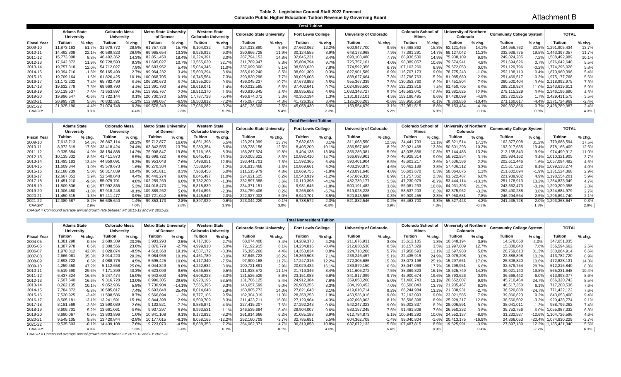#### **Table 2. Legislative Council Staff 2022 Forecast Colorado Public Higher Education Tuition Revenue by Governing Board**

Attachment B

|                    |                                  |         |                                           |        |                                            |         |                                                    |          |                                  |         | <b>Total Tuition</b>      |         |                               |         |                                           |          |                                    |          |                          |         |                        |         |
|--------------------|----------------------------------|---------|-------------------------------------------|--------|--------------------------------------------|---------|----------------------------------------------------|----------|----------------------------------|---------|---------------------------|---------|-------------------------------|---------|-------------------------------------------|----------|------------------------------------|----------|--------------------------|---------|------------------------|---------|
|                    | <b>Adams State</b><br>University |         | <b>Colorado Mesa</b><br><b>University</b> |        | <b>Metro State University</b><br>of Denver |         | <b>Western State</b><br><b>Colorado University</b> |          | <b>Colorado State University</b> |         | <b>Fort Lewis College</b> |         | <b>University of Colorado</b> |         | <b>Colorado School of</b><br><b>Mines</b> |          | University of Northern<br>Colorado |          | Community College System |         | <b>TOTAL</b>           |         |
| <b>Fiscal Year</b> | Tuition                          | % chg.  | <b>Tuition</b>                            | % chg. | Tuition                                    | % chg.  | Tuition                                            | $%$ chg. | Tuition                          | % chg.  | <b>Tuition</b>            | % chg.  | Tuition                       | % chg.  | Tuition                                   | $%$ chg. | <b>Tuition</b>                     | $%$ chg. | Tuition                  | % cha.  | Tuition                | % chg.  |
| 2009-10            | 11,873,163                       | 51.7%   | 31,979,772                                | 28.5%  | 61.757.726                                 | 15.7%   | 9,104,032                                          | 4.3%     | 224,013,890                      | 8.6%    | 27,662,062                | 12.2%   | 600,947,700                   | 9.5%    | 67,488,862                                | 15.3%    | 62.121.465                         | 14.1%    | 194,956,762              | 30.8%   | 1,291,905,434          | 13.7%   |
| 2010-11            | 14,492,309                       | 22.1%   | 40,589,823                                | 26.9%  | 69,965,654                                 | 13.3%   | 9,926,912                                          | 9.0%     | 250,666,728                      | 11.9%   | 30,124,555                | 8.9%    | 648,173,968                   | 7.9%    | 77,391,29 <sup>,</sup>                    | 14.7%    | 69,127,042                         | 11.3%    | 232,938,775              | 19.5%   | 1,443,397,057          | 11.7%   |
| 2011-12            | 15,773,008                       | 8.8%    | 46,402,362                                | 14.3%  | 82.851.450                                 | 18.4%   | 0,224,391                                          | 3.0%     | 287.794.153                      | 14.8%   | 32.645.221                | 8.4%    | 698,103,480                   | $7.7\%$ | 88,936,530                                | 14.9%    | 75,938,109                         | 9.9%     | 249,824,285              | 7.2%    | 1,588,492,989          | 10.1%   |
| 2012-13            | 17,642,872                       | 11.9%   | 50,728,593                                | 9.3%   | 91,695,027                                 | 10.7%   | 13,565,630                                         | 32.7%    | 311,789,947                      | 8.3%    | 35.804.794                | 9.7%    | 725.757.161                   | 4.0%    | 98,389,057                                | 10.6%    | 79.574.941                         | 4.8%     | 251,694,626              | 0.7%    | 1.676.642.648          | 5.5%    |
| 2013-14            | 19,757,318                       | 12.0%   | 54,712,027                                | 7.9%   | 96,683,952                                 | 5.4%    | 15,064,346                                         | 11.0%    | 337,099,300                      | 8.1%    | 38,580,620                | 7.8%    | 774,592,356                   | 6.7%    | 103,260                                   | 8.9%     | 79,572,053                         | $0.0\%$  | 251,129,796              | $-0.2%$ | 1,774,295,028          | 5.8%    |
| 2014-15            | 19,394,716                       | -1.8%   | 56,165,490                                | 2.7%   | 99,964,232                                 | 3.4%    | 15,603,294                                         | 3.6%     | 365,619,240                      | 8.5%    | 38,691,309                | 0.3%    | 827,901,589                   | 6.9%    | 116.707.173                               | $9.0\%$  | 78,775,243                         | $-1.0%$  | 252,138,110              | 0.4%    | 1,870,960,396          | 5.4%    |
| 2015-16            | 19,709,164                       | $1.6\%$ | 61,826,425                                | 10.1%  | 100,068,705                                | 0.1%    | 16,745,564                                         | 7.3%     | 393,820,298                      | 7.7%    | 39,028,008                | 0.9%    | 888,627,664                   |         | 7.3% 122,796,763                          | 5.2%     | 81,085,660                         | 2.9%     | 251,469,517              |         | $-0.3\%$ 1.975,177,768 | 5.6%    |
| 2016-17            | 21,172,232                       | 7.4%    | 65,782,439                                |        | 6.4% 106,290,673                           | 6.2%    | 18,355,206                                         | 9.6%     | 436,045,237                      | 10.7%   | 37,673,883                | $-3.5%$ | 955,367,339                   |         | 7.5% 130,353,760                          |          | 6.2% 87,451,804                    | 7.9%     | 260,500,404              |         | 3.6% 2.118,992,975     | 7.3%    |
| 2017-18            | 19,632,779                       | $-7.3%$ | 68,669,790                                |        | 4.4% 111,391,790                           | 4.8%    | 18,619,071                                         | 1.4%     | 460,012,595                      | 5.5%    | 37.402.641                | $-0.7%$ | 1.024.986.500                 |         | 7.3% 132,233,816                          |          | 1.4% 81.450.705                    | $-6.9%$  | 289,219,924              |         | 11.0% 2,243,619,611    | 5.9%    |
| 2018-19            | 20,119,537                       | 2.5%    | 71,653,897                                |        | 4.3% 113,955,767                           | 2.3%    | 18,812,370                                         | 1.0%     | 480,910,845                      | 4.5%    | 39,835,652                | 6.5%    | 1,083,348,727                 | 5.7%    | 146,563,041                               | $10.8\%$ | 91,881,625                         | 12.8%    | 279,115,229              |         | -3.5% 2,346,196,690    | 4.6%    |
| 2019-20            | 19,996,547                       | $-0.6%$ | 71,722,144                                |        | 0.1% 120,730,370                           | 5.9%    | 17.787.728                                         | $-5.4%$  | 496,674,072                      | 3.3%    | 40,350,194                | 1.3%    | 1,131,813,101                 |         | 4.5% 159,186,495                          | 8.6%     | 87,428,099                         | $-4.8%$  | 283,722,825              |         | 1.7% 2.429,411,575     | 3.5%    |
| 2020-21            | 20,995,720                       | 5.0%    | 70,832,321                                |        | -1.2% 112,898,057                          | $-6.5%$ | 16,503,812                                         | $-7.2%$  | 475,087,712                      | $-4.3%$ | 1,726,352                 | 3.4%    | 125.206.263                   | $-0.6%$ | 158,950,259                               | $-0.1%$  | 78,363,856                         | $-10.4%$ | 271,160,617              |         | -4.4% 2.371,724,969    | $-2.4%$ |
| 2021-22            | 21,925,190                       | 4.4%    | 71.074.748                                |        | 0.3% 109,576,243                           | $-2.9%$ | 17,036,282                                         | 3.2%     | 487,126,600                      | 2.5%    | 45,058,430                | 8.0%    | 159,554,679                   |         | 3.1% 172,951,515                          | $8.8\%$  | 75,153,434                         | $-4.1%$  | 269,332,866              |         | $-0.7\%$ 2,428,789,987 | 2.4%    |
| CAAGR*             |                                  | 3.3%    |                                           | 4.4%   |                                            | 2.8%    |                                                    | 5.2%     |                                  | 5.4%    |                           | 3.3%    |                               | 5.2%    |                                           | 6.9%     |                                    | $-0.1%$  |                          | 0.8%    |                        | 4.3%    |

| <b>Total Resident Tuition</b> |  |  |  |  |
|-------------------------------|--|--|--|--|
|-------------------------------|--|--|--|--|

|                      | <b>Adams State</b><br>University |         | Colorado Mesa<br>University |             | <b>Metro State University</b><br>of Denver |         | <b>Western State</b><br><b>Colorado University</b> |         | <b>Colorado State University</b> |         | <b>Fort Lewis College</b> |         | <b>University of Colorado</b> |          | <b>Colorado School of</b><br>Mines |         | University of Northern<br>Colorado |          | <b>Community College System</b> |          | <b>TOTAL</b>        |          |
|----------------------|----------------------------------|---------|-----------------------------|-------------|--------------------------------------------|---------|----------------------------------------------------|---------|----------------------------------|---------|---------------------------|---------|-------------------------------|----------|------------------------------------|---------|------------------------------------|----------|---------------------------------|----------|---------------------|----------|
| <b>Fiscal Year</b>   | Tuition                          | $%$ chg | <b>Tuition</b>              | $%$ chg.    | Tuition                                    | % chg.  | Tuition                                            | % chg.  | Tuition                          | % chg.  | Tuition                   | % chg.  | Tuition                       | $%$ chg. | Tuition                            | % chg.  | Tuition                            | $%$ chg. | Tuition                         | $%$ chg. | Tuition             | $%$ chg. |
| 2009-10              | 7.613.713                        | 54.3%   | 26.867.114                  | 29.2%       | 55.712.877                                 | 16.6%   | 4,861,398                                          | 5.5%    | 123,291,999                      | 13.7%   | 7,632,628                 | 3.1%    | 311,068,550                   | 12.5%    | 34.441.793                         | 13.1%   | 45.821.514                         | 17.1%    | 162.377.008                     | 31.2%    | 779.688.594         | 17.5%    |
| 2010-11              | 8.972.619                        | 17.8%   | 33.418.424                  | 24.4%       | 63.342.555                                 | 13.7%   | 5,280,354                                          | 8.6%    | 138,738,156                      | 12.5%   | 8,405,209                 | 10.1%   | 336,567,696                   | 8.2%     | 39.021.468                         | 13.3%   | 50.501.293                         | 10.2%    | 193,917,635                     | 19.4%    | 878.165.409         | 12.6%    |
| 2011-12              | 9,335,684                        |         | 4.0% 38,154,888             | 14.2%       | 75,908,847                                 | 19.8%   | 5,716,168                                          | 8.3%    | 166,267,624                      | 19.8%   | 9,494,138                 | 13.0%   | 356,286,381                   | 5.9%     | 43,035,856                         | 10.3%   | 57.144.483                         | 13.2%    | 213,155,843                     | 9.9%     | 974,499,912         | 11.0%    |
| 2012-13              | 10,135,332                       | 8.6%    | 41,411,873                  | 8.5%        | 82,698,722                                 | 8.9%    | 6,645,435                                          | 16.3%   | 180,003,822                      | 8.3%    | 0,892,410                 | 14.7%   | 366,698,901                   | 2.9%     | 46,928,314                         | 9.0%    | 58,922,934                         | 3.1%     | 205,984,162                     | $-3.4%$  | 1,010,321,905       | 3.7%     |
| 2013-14              | 11.495.183                       | 13.4%   | 44,859,091                  | 8.3%        | 88,953,048                                 | 7.6%    | 498,951,                                           | 12.8%   | 193.441.701                      | 7.5%    | 1,592,365                 | 6.4%    | 390,401,904                   | 6.5%     | 48.603.217                         | 3.6%    | 57,636,586                         | $-2.2%$  | 202.612.446                     | -1.6% -  | 1,057,094,492       | 4.6%     |
| 2014-15              | 11,609,844                       | 1.0%    | 45,579,673                  | 1.6%        | 90,270,384                                 | 1.5%    | 588,646                                            | 1.2%    | 201,813,468                      | 4.3%    | 0,869,661                 | $-6.2%$ | 408,290,875                   | 4.6%     | 50,462,189                         | 3.8%    | 57,436,312                         | $-0.3%$  | 215,617,222                     | 6.4%     | 1,099,538,274       | 4.0%     |
| 2015-16              | 12,188,239                       | 5.0%    | 50,317,839                  | 10.4%       | 90,501,811                                 | 0.3%    | ,968,458                                           | 5.0%    | 211,515,979                      | 4.8%    | 0,669,755                 | $-1.8%$ | 428,091,648                   | 4.8%     | 50,603,670                         | 0.3%    | 58.064.075                         | 1.1%     | 211,602,894                     |          | -1.9% 1.131.524.368 | 2.9%     |
| 2016-17              | 12,667,051                       |         | 3.9% 52,540,848             | 4.4%        | 96,446,274                                 | 6.6%    | 8,845,497                                          | 11.0%   | 224,621,525                      | 6.2%    | 0,543,919                 | $-1.2%$ | 457,669,336                   | 6.9%     | 51.757.362                         | 2.3%    | 61,522,487                         | 6.0%     | 221,939,902                     |          | 4.9% 1.198,554,201  | 5.9%     |
| 2017-18              | 11.451.210                       | $-9.6%$ | 55.079.701                  | 4.8%        | 102.259.269                                | 6.0%    | 8,732,200                                          | $-1.3%$ | 232.597.388                      | 3.6%    | 0,110,398                 | $-4.1%$ | 482,739,177                   | 5.5%     | 7.230.979                          | $-8.7%$ | 53.444.114                         | $-13.1%$ | 251,178,913                     | 13.2%    | 1.254.823.349       | 4.7%     |
| 2018-19              | 11.509.836                       | 0.5%    | 57,992,836                  | 5.3%        | 104.018.470                                | 1.7%    | 8,818,839                                          | 1.0%    | 234.371.151                      | 0.8%    | 9,931,645                 | $-1.8%$ | 500.191.482                   | 3.6%     | 55.081.233                         | 16.6%   | 64.931.393                         | 21.5%    | 243.362.473                     | -3.1% -  | 1.290.209.358       | 2.8%     |
| 2019-20              | 11.306.480                       | $-1.8%$ | 57,918,248                  | $-0.1%$     | 109.889.262                                | 5.6%    | 8.614.896                                          | $-2.3%$ | 234,759,406                      | 0.2%    | 9,265,006                 | $-6.7%$ | 519,028,228                   | 3.8%     | 58.537.203                         | 6.3%    | 62.875.962                         | $-3.2%$  | 252,490,288                     | $3.8\%$  | 1.324.684.979       | 2.7%     |
| 2020-21              | 11,450,615                       |         | 1.3% 57,411,477             | $-0.9%$     | 102,721,042                                | $-6.5%$ | 8,445,647                                          | $-2.0%$ | 222,927,003                      | $-5.0%$ | 8,940,701                 | $-3.5%$ | 520,843,555                   | 0.3%     | 59,909,455                         | 2.3%    | 57,950,681                         | $-7.8%$  | 246,294,564                     | $-2.5\%$ | 1,296,894,740       | $-2.1%$  |
| 2021-22              | 12,389,687                       | 8.2%    | 56.635.640                  | $-1.4%$     | 99,853,173                                 | $-2.8%$ | 8.397.929                                          | $-0.6%$ | 223.044.229                      | 0.1%    | 8,738,572                 | $-2.3%$ | 521,882,546                   | 0.2%     | 65.463.700                         | 9.3%    | 55.527.443                         | $-4.2%$  | 241,435,728                     |          | -2.0% 1.293.368.647 | $-0.3%$  |
| CAAGR*               |                                  | 2.9%    |                             | 4.0%        |                                            | 2.8%    |                                                    | 3.9%    |                                  | 3.0%    |                           | $-0.8%$ |                               | 3.9%     |                                    | 4.3%    |                                    | $-0.3%$  |                                 | 1.3%     |                     | 2.9%     |
| $\sim$ $\sim$ $\sim$ |                                  |         |                             | $-11001110$ | $\sqrt{2}$                                 |         |                                                    |         |                                  |         |                           |         |                               |          |                                    |         |                                    |          |                                 |          |                     |          |

*CAAGR = Compound average annual growth rate between FY 2011-12 and FY 2021-22.*

|                    | <b>Total Nonresident Tuition</b> |         |                                    |         |                                            |          |                                                    |          |                                  |         |                           |         |                        |         |                                    |          |                                    |          |                                 |          |                       |          |
|--------------------|----------------------------------|---------|------------------------------------|---------|--------------------------------------------|----------|----------------------------------------------------|----------|----------------------------------|---------|---------------------------|---------|------------------------|---------|------------------------------------|----------|------------------------------------|----------|---------------------------------|----------|-----------------------|----------|
|                    | <b>Adams State</b><br>University |         | <b>Colorado Mesa</b><br>University |         | <b>Metro State University</b><br>of Denver |          | <b>Western State</b><br><b>Colorado University</b> |          | <b>Colorado State University</b> |         | <b>Fort Lewis College</b> |         | University of Colorado |         | <b>Colorado School of</b><br>Mines |          | University of Northern<br>Colorado |          | <b>Community College System</b> |          | <b>TOTAL</b>          |          |
| <b>Fiscal Year</b> | Tuition                          | % chg.  | Tuition                            | % chg.  | Tuition                                    | % chg.   | Tuition                                            | % chg.   | Tuition                          | % chg.  | <b>Tuition</b>            | % chg.  | Tuition                | % chg.  | Tuition                            | $%$ chg. | Tuition                            | % chg.   | Tuition                         | % chg.   | Tuition               | $%$ chg. |
| 2004-05            | 1,381,298                        | 0.5%    | 2,689,389                          | 20.2%   | 3,983,293                                  | $-2.5%$  | 4,717,306                                          | $-2.7%$  | 68.074.408                       | $-3.49$ | 14,289,373                | 4.2%    | 211,676,931            | 3.0%    | 15,612,185                         | 1.8%     | 10,648,194                         | 3.8%     | 14,578,658                      | $-4.0%$  | 347,651,035           |          |
| 2005-06            | 1,387,978                        | 0.5%    | 3,308,556                          | 23.0%   | 3,876,779                                  | $-2.7%$  | 4,999,910                                          | 6.0%     | 72,192,915                       | 6.1%    | 14,234,816                | $-0.4%$ | 212,630,530            | 0.5%    | 16,157,329                         | 3.5%     | 11,997,009                         | 12.7%    | 15,808,840                      | 7.6%     | 356,594,662           | 2.6%     |
| 2006-07            | 1,970,812                        | 42.0%   | 3,028,874                          | $-8.5%$ | 4,618,368                                  | 19.1%    | 4,587,172                                          | $-8.3%$  | 75,395,260                       | 4.4%    | 14,350,034                | 0.8%    | 224,718,208            | 5.7%    | 17,958,593                         | 11.1%    | 12,697,980                         | 5.8%     | 20,759,613                      | 31.3%    | 380,084,914           | 6.6%     |
| 2007-08            | 2,666,061                        | 35.3%   | 3,914,220                          | 29.2%   | 5,084,955                                  | 10.1%    | 4,451,780                                          | $-3.0%$  | 87,645,723                       | 16.2%   | 15,369,503                | 7.1%    | 236,246,457            | 5.1%    | 22,435,915                         | 24.9%    | 13,079,208                         | 3.0%     | 22,888,898                      | 10.3%    | 413,782,720           | 8.9%     |
| 2008-09            | 2,893,722                        | 8.5%    | 4,088,776                          | 4.5%    | 5,595,425                                  | 10.0%    | 4,117,340                                          | $-7.5%$  | 97,900,168                       | 11.7%   | 17,247,316                | 12.2%   | 272,305,685            | 15.3%   | 28,073,198                         | 25.1%    | 15,297,661                         | 17.0%    | 25,308,840                      | 10.6%    | 472,828,131           | 14.3%    |
| 2009-10            | 4,259,450                        | 47.2%   | 5,112,658                          | 25.0%   | 6,044,849                                  | 8.0%     | 4,242,634                                          | 3.0%     | 100,721,891                      | 2.9%    | 20,029,434                | 16.1%   | 289,879,150            | 6.5%    | 33,047,069                         | 17.7%    | 16,299,951                         | $6.6\%$  | 32,579,754                      | 28.7%    | 512,216,840           | 8.3%     |
| 2010-11            | 5,519,690                        | 29.6%   | 7,171,399                          | 40.3%   | 6,623,099                                  | 9.6%     | 4,646,558                                          | 9.5%     | 111,928,572                      | 11.1%   | 21,719,346                | 8.4%    | 311,606,272            | 7.5%    | 38,369,823                         | 16.19    | 18,625,749                         | 14.3%    | 39,021,140                      | 19.8%    | 565,231,648           | 10.4%    |
| 2011-12            | 6,437,324                        | 16.6%   | 8,247,474                          | 15.0%   | 6,942,603                                  | 4.8%     | 4,508,223                                          | $-3.0%$  | 121,526,529                      | 8.6%    | 23,151,083                | 6.6%    | 341,817,099            | 9.7%    | 45,900,674                         | 19.6%    | 18,793,626                         | 0.9%     | 36,668,442                      | $-6.0%$  | 613,993,077           | 8.6%     |
| 2012-13            | 7,507,540                        | 16.6%   | 9,316,720                          | 13.0%   | 8,996,305                                  | 29.6%    | 6,920,195                                          | 53.5%    | 131,786,125                      | 8.4%    | 24,912,384                | 7.6%    | 359,058,260            | 5.0%    | 51,460,743                         | 12.1%    | 20,652,007                         | 9.9%     | 45,710,464                      | 24.7%    | 666,320,743           | 8.5%     |
| 2013-14            | 8,262,135                        | 10.1%   | 9,852,936                          | 5.8%    | 7,730,904                                  | $-14.1%$ | 7,565,395                                          | 9.3%     | 143,657,599                      | 9.0%    | 26,988,255                | 8.3%    | 384,190,452            | 7.0%    | 58,500,043                         | 13.7%    | 21,935,467                         | 6.2%     | 48,517,350                      | 6.1%     | 717,200,536           | 7.6%     |
| 2014-15            | 7,784,872                        | $-5.8%$ | 10,585,817                         | 7.4%    | 9,693,848                                  | 25.4%    | 8,014,648                                          | 5.9%     | 163,805,772                      | 14.0%   | 27,821,648                | 3.1%    | 419,610,714            | 9.2%    | 66,244,984                         | 13.2%    | 21,338,931                         | $-2.7%$  | 36,520,888                      | $-24.7%$ | 771,422,122           | 7.6%     |
| 2015-16            | 7,520,925                        | $-3.4%$ | 11,508,586                         | 8.7%    | 9,566,894                                  | $-1.3%$  | 8,777,106                                          | 9.5%     | 182,304,319                      | 11.3%   | 28,358,253                | 1.9%    | 460,536,016            | 9.8%    | 72,193,093                         |          | 23,021,585                         | 7.9%     | 39,866,623                      | 9.2%     | 843,653,400           | 9.4%     |
| 2016-17            | 8,505,181                        | 13.1%   | 13,241,59                          | 15.1%   | 9,844,398                                  | 2.9%     | 9,509,709                                          | 8.3%     | 211,423,711                      | 16.0%   | 27,129,964                | $-4.3%$ | 497,698,003            |         | 8,596,398                          | 8.9%     | 25,929,317                         | 12.6%    | 38,560,502                      | $-3.3%$  | 920,438,774           | 9.1%     |
| 2017-18            | 8,181,569                        | $-3.8%$ | 13,590,089                         | 2.6%    | 9,132,521                                  | $-7.2%$  | 9,886,871                                          | 4.0%     | 227,415,207                      | 7.6%    | 27,292,243                | 0.6%    | 542,247,323            | 9.0%    | 85,002,837                         |          | 28,006,591                         | 8.0%     | 38,041,011                      | $-1.3%$  | 988,796,262           | 7.4%     |
| 2018-19            | 8,609,701                        | 5.2%    | 13,661,061                         | 0.5%    | 9,937,297                                  | 8.8%     | 9,993,531                                          | 1.1%     | 246,539,694                      | 8.4%    | 29,904,007                | 9.6%    | 583, 157, 245          | 7.5%    | 91.481.808                         | 7.6%     | 26,950,232                         | $-3.8%$  | 35,752,756                      | $-6.0%$  | 1,055,987,332         | 6.8%     |
| 2019-20            | 8,690,067                        | 0.9%    | 13,803,896                         | 1.0%    | 10,841,108                                 | 9.1%     | 9,172,832                                          | $-8.2%$  | 261,914,666                      | 6.2%    | 1,085,188                 | 3.9%    | 612,784,873            | 5.1%    | 100,649,292                        | 10.0%    | 24,552,137                         | $-8.9%$  | 31,232,537                      | -12.6%   | 1,104,726,596         | 4.6%     |
| 2020-21            | 9,545,105                        | 9.8%    | 13,420,844                         | $-2.8%$ | 10,177,015                                 | $-6.1%$  | 8,058,165                                          | $-12.2%$ | 252,160,709                      | $-3.7%$ | 32,785,651                | 5.5%    | 604,362,708            | $-1.4%$ | 99,040,804                         | $-1.6%$  | 20,413,175                         | 16.9%    | 24,866,053                      |          | -20.4% 1.074.830.229  | $-2.7%$  |
| 2021-22            | 9,535,503                        | $-0.1%$ | 14,439,108                         | 7.6%    | 9,723,070                                  | $-4.5%$  | 8,638,353                                          | 7.2%     | 264,082,371                      | 4.7%    | 36,319,858                | 10.8%   | 637,672,133            |         | 5.5% 107,487,815                   | 8.5%     | 19,625,991                         | $-3.9\%$ | 27,897,139                      |          | 12.2%   1,135,421,340 | 5.6%     |
| CAAGR*             |                                  | 4.0%    |                                    | 5.8%    |                                            | 3.4%     |                                                    | 6.7%     |                                  | 8.1%    |                           | 4.6%    |                        | 6.4%    |                                    | 8.9%     |                                    | 0.4%     |                                 | $-2.7%$  |                       | 6.3%     |

*CAAGR = Compound average annual growth rate between FY 2011-12 and FY 2021-22.*